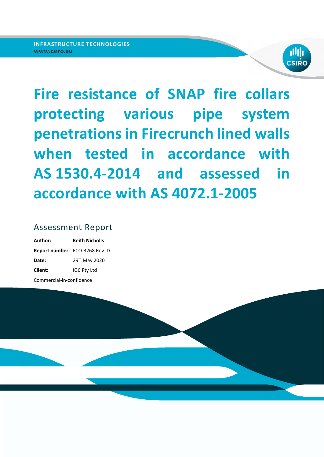

**Fire resistance of SNAP fire collars protecting various pipe system penetrations in Firecrunch lined walls when tested in accordance with AS 1530.4-2014 and assessed in accordance with AS 4072.1-2005**

## Assessment Report

| Author:                  | Keith Nicholls                 |
|--------------------------|--------------------------------|
|                          | Report number: FCO-3268 Rev. D |
| Date:                    | 29 <sup>th</sup> May 2020      |
| <b>Client:</b>           | IG6 Pty Ltd                    |
| Commercial-in-confidence |                                |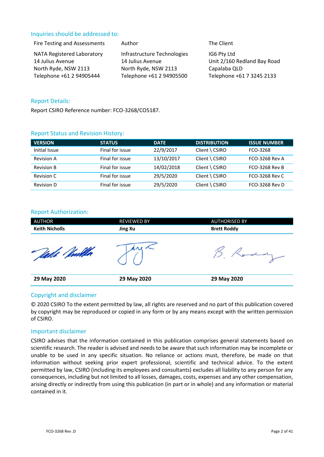### Inquiries should be addressed to:

| Fire Testing and Assessments                          | Author                                          | The Client                                 |
|-------------------------------------------------------|-------------------------------------------------|--------------------------------------------|
| <b>NATA Registered Laboratory</b><br>14 Julius Avenue | Infrastructure Technologies<br>14 Julius Avenue | IG6 Pty Ltd<br>Unit 2/160 Redland Bay Road |
| North Ryde, NSW 2113                                  | North Ryde, NSW 2113                            | Capalaba QLD                               |
| Telephone +61 2 94905444                              | Telephone +61 2 94905500                        | Telephone +61 7 3245 2133                  |

#### Report Details:

Report CSIRO Reference number: FCO‐3268/CO5187.

#### Report Status and Revision History:

| <b>VERSION</b>    | <b>STATUS</b>   | <b>DATE</b> | <b>DISTRIBUTION</b>      | <b>ISSUE NUMBER</b>   |
|-------------------|-----------------|-------------|--------------------------|-----------------------|
| Initial Issue     | Final for issue | 22/9/2017   | $Client \setminus CSIRO$ | FCO-3268              |
| <b>Revision A</b> | Final for issue | 13/10/2017  | Client \ CSIRO           | <b>FCO-3268 Rev A</b> |
| <b>Revision B</b> | Final for issue | 14/02/2018  | $Client \setminus CSIRO$ | <b>FCO-3268 Rev B</b> |
| Revision C        | Final for issue | 29/5/2020   | $Client \setminus CSIRO$ | <b>FCO-3268 Rev C</b> |
| <b>Revision D</b> | Final for issue | 29/5/2020   | $Client \setminus CSIRO$ | <b>FCO-3268 Rev D</b> |

#### Report Authorization:

| <b>AUTHOR</b><br><b>Keith Nicholls</b> | <b>REVIEWED BY</b><br><b>Jing Xu</b> | <b>AUTHORISED BY</b><br><b>Brett Roddy</b> |
|----------------------------------------|--------------------------------------|--------------------------------------------|
|                                        |                                      |                                            |
| 29 May 2020                            | 29 May 2020                          | 29 May 2020                                |

#### Copyright and disclaimer

© 2020 CSIRO To the extent permitted by law, all rights are reserved and no part of this publication covered by copyright may be reproduced or copied in any form or by any means except with the written permission of CSIRO.

#### Important disclaimer

CSIRO advises that the information contained in this publication comprises general statements based on scientific research. The reader is advised and needs to be aware that such information may be incomplete or unable to be used in any specific situation. No reliance or actions must, therefore, be made on that information without seeking prior expert professional, scientific and technical advice. To the extent permitted by law, CSIRO (including its employees and consultants) excludes all liability to any person for any consequences, including but not limited to all losses, damages, costs, expenses and any other compensation, arising directly or indirectly from using this publication (in part or in whole) and any information or material contained in it.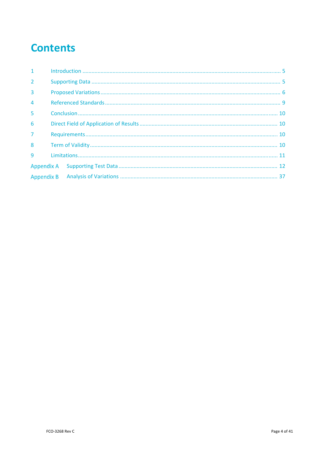# **Contents**

| $1 -$          |  |  |
|----------------|--|--|
| $\overline{2}$ |  |  |
| 3              |  |  |
| $\overline{4}$ |  |  |
| 5              |  |  |
| 6              |  |  |
| $\overline{7}$ |  |  |
| 8              |  |  |
| $\mathbf{q}$   |  |  |
|                |  |  |
|                |  |  |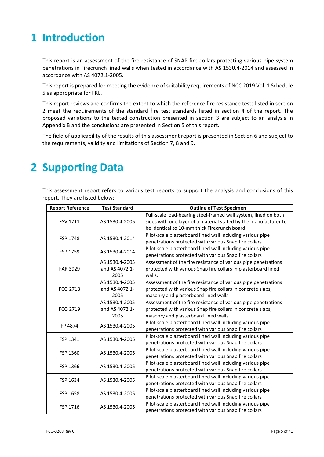## **1 Introduction**

This report is an assessment of the fire resistance of SNAP fire collars protecting various pipe system penetrations in Firecrunch lined walls when tested in accordance with AS 1530.4‐2014 and assessed in accordance with AS 4072.1‐2005.

This report is prepared for meeting the evidence of suitability requirements of NCC 2019 Vol. 1 Schedule 5 as appropriate for FRL.

This report reviews and confirms the extent to which the reference fire resistance tests listed in section 2 meet the requirements of the standard fire test standards listed in section 4 of the report. The proposed variations to the tested construction presented in section 3 are subject to an analysis in Appendix B and the conclusions are presented in Section 5 of this report.

The field of applicability of the results of this assessment report is presented in Section 6 and subject to the requirements, validity and limitations of Section 7, 8 and 9.

## **2 Supporting Data**

This assessment report refers to various test reports to support the analysis and conclusions of this report. They are listed below;

| <b>Report Reference</b> | <b>Test Standard</b> | <b>Outline of Test Specimen</b>                                  |  |  |
|-------------------------|----------------------|------------------------------------------------------------------|--|--|
|                         |                      | Full-scale load-bearing steel-framed wall system, lined on both  |  |  |
| <b>FSV 1711</b>         | AS 1530.4-2005       | sides with one layer of a material stated by the manufacturer to |  |  |
|                         |                      | be identical to 10-mm thick Firecrunch board.                    |  |  |
|                         |                      | Pilot-scale plasterboard lined wall including various pipe       |  |  |
| <b>FSP 1748</b>         | AS 1530.4-2014       | penetrations protected with various Snap fire collars            |  |  |
|                         | AS 1530.4-2014       | Pilot-scale plasterboard lined wall including various pipe       |  |  |
| FSP 1759                |                      | penetrations protected with various Snap fire collars            |  |  |
|                         | AS 1530.4-2005       | Assessment of the fire resistance of various pipe penetrations   |  |  |
| <b>FAR 3929</b>         | and AS 4072.1-       | protected with various Snap fire collars in plasterboard lined   |  |  |
|                         | 2005                 | walls.                                                           |  |  |
|                         | AS 1530.4-2005       | Assessment of the fire resistance of various pipe penetrations   |  |  |
| FCO 2718                | and AS 4072.1-       | protected with various Snap fire collars in concrete slabs,      |  |  |
|                         | 2005                 | masonry and plasterboard lined walls.                            |  |  |
|                         | AS 1530.4-2005       | Assessment of the fire resistance of various pipe penetrations   |  |  |
| FCO 2719                | and AS 4072.1-       | protected with various Snap fire collars in concrete slabs,      |  |  |
|                         | 2005                 | masonry and plasterboard lined walls.                            |  |  |
| FP 4874                 | AS 1530.4-2005       | Pilot-scale plasterboard lined wall including various pipe       |  |  |
|                         |                      | penetrations protected with various Snap fire collars            |  |  |
| FSP 1341                | AS 1530.4-2005       | Pilot-scale plasterboard lined wall including various pipe       |  |  |
|                         |                      | penetrations protected with various Snap fire collars            |  |  |
| FSP 1360                | AS 1530.4-2005       | Pilot-scale plasterboard lined wall including various pipe       |  |  |
|                         |                      | penetrations protected with various Snap fire collars            |  |  |
| FSP 1366                | AS 1530.4-2005       | Pilot-scale plasterboard lined wall including various pipe       |  |  |
|                         |                      | penetrations protected with various Snap fire collars            |  |  |
| FSP 1634                | AS 1530.4-2005       | Pilot-scale plasterboard lined wall including various pipe       |  |  |
|                         |                      | penetrations protected with various Snap fire collars            |  |  |
| FSP 1658                | AS 1530.4-2005       | Pilot-scale plasterboard lined wall including various pipe       |  |  |
|                         |                      | penetrations protected with various Snap fire collars            |  |  |
|                         |                      | Pilot-scale plasterboard lined wall including various pipe       |  |  |
| FSP 1716                | AS 1530.4-2005       | penetrations protected with various Snap fire collars            |  |  |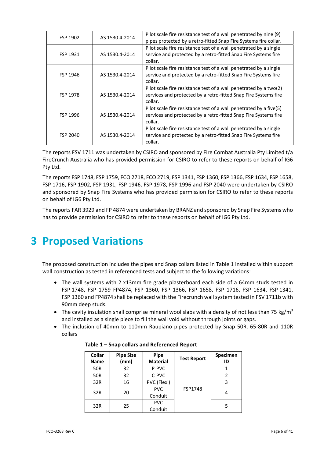| FSP 1902 | AS 1530.4-2014 | Pilot scale fire resistance test of a wall penetrated by nine (9)<br>pipes protected by a retro-fitted Snap Fire Systems fire collar. |
|----------|----------------|---------------------------------------------------------------------------------------------------------------------------------------|
|          |                | Pilot scale fire resistance test of a wall penetrated by a single                                                                     |
| FSP 1931 | AS 1530.4-2014 | service and protected by a retro-fitted Snap Fire Systems fire                                                                        |
|          |                | collar.                                                                                                                               |
|          |                | Pilot scale fire resistance test of a wall penetrated by a single                                                                     |
| FSP 1946 | AS 1530.4-2014 | service and protected by a retro-fitted Snap Fire Systems fire                                                                        |
|          |                | collar.                                                                                                                               |
|          |                | Pilot scale fire resistance test of a wall penetrated by a two(2)                                                                     |
| FSP 1978 | AS 1530.4-2014 | services and protected by a retro-fitted Snap Fire Systems fire                                                                       |
|          |                | collar.                                                                                                                               |
|          |                | Pilot scale fire resistance test of a wall penetrated by a five(5)                                                                    |
| FSP 1996 | AS 1530.4-2014 | services and protected by a retro-fitted Snap Fire Systems fire                                                                       |
|          |                | collar.                                                                                                                               |
|          |                | Pilot scale fire resistance test of a wall penetrated by a single                                                                     |
| FSP 2040 | AS 1530.4-2014 | service and protected by a retro-fitted Snap Fire Systems fire                                                                        |
|          |                | collar.                                                                                                                               |

The reports FSV 1711 was undertaken by CSIRO and sponsored by Fire Combat Australia Pty Limited t/a FireCrunch Australia who has provided permission for CSIRO to refer to these reports on behalf of IG6 Pty Ltd.

The reports FSP 1748, FSP 1759, FCO 2718, FCO 2719, FSP 1341, FSP 1360, FSP 1366, FSP 1634, FSP 1658, FSP 1716, FSP 1902, FSP 1931, FSP 1946, FSP 1978, FSP 1996 and FSP 2040 were undertaken by CSIRO and sponsored by Snap Fire Systems who has provided permission for CSIRO to refer to these reports on behalf of IG6 Pty Ltd.

The reports FAR 3929 and FP 4874 were undertaken by BRANZ and sponsored by Snap Fire Systems who has to provide permission for CSIRO to refer to these reports on behalf of IG6 Pty Ltd.

## **3 Proposed Variations**

The proposed construction includes the pipes and Snap collars listed in Table 1 installed within support wall construction as tested in referenced tests and subject to the following variations:

- The wall systems with 2 x13mm fire grade plasterboard each side of a 64mm studs tested in FSP 1748, FSP 1759 FP4874, FSP 1360, FSP 1366, FSP 1658, FSP 1716, FSP 1634, FSP 1341, FSP 1360 and FP4874 shall be replaced with the Firecrunch wall system tested in FSV 1711b with 90mm deep studs.
- The cavity insulation shall comprise mineral wool slabs with a density of not less than 75 kg/m<sup>3</sup> and installed as a single piece to fill the wall void without through joints or gaps.
- The inclusion of 40mm to 110mm Raupiano pipes protected by Snap 50R, 65‐80R and 110R collars

| Collar<br><b>Name</b> | <b>Pipe Size</b><br>(mm) | Pipe<br><b>Material</b> | <b>Test Report</b> | Specimen<br>ID |
|-----------------------|--------------------------|-------------------------|--------------------|----------------|
| 50R                   | 32                       | P-PVC                   |                    |                |
| 50R                   | 32                       | C-PVC                   | FSP1748            | $\mathcal{P}$  |
| 32R                   | 16                       | PVC (Flexi)             |                    | ς              |
| 32R                   | 20                       | <b>PVC</b>              |                    | 4              |
|                       |                          | Conduit                 |                    |                |
| 32R                   | 25                       | <b>PVC</b>              |                    | 5              |
|                       |                          | Conduit                 |                    |                |

#### **Table 1 – Snap collars and Referenced Report**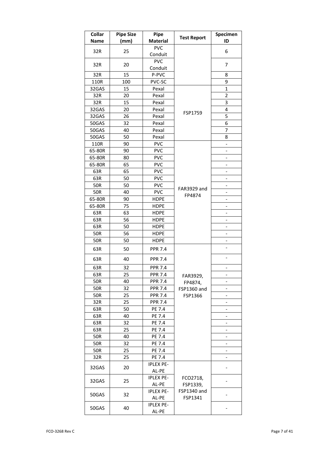| Collar<br><b>Name</b> | <b>Pipe Size</b><br>(mm) | Pipe<br><b>Material</b>   | <b>Test Report</b>    | Specimen<br>ID               |
|-----------------------|--------------------------|---------------------------|-----------------------|------------------------------|
|                       |                          | <b>PVC</b>                |                       |                              |
| 32R                   | 25                       | Conduit                   |                       | 6                            |
|                       |                          | <b>PVC</b>                |                       |                              |
| 32R                   | 20                       | Conduit                   |                       | 7                            |
| 32R                   | 15                       | P-PVC                     |                       | 8                            |
| 110R                  | 100                      | PVC-SC                    |                       | 9                            |
| 32GAS                 | 15                       | Pexal                     |                       | $\mathbf{1}$                 |
| 32R                   | 20                       | Pexal                     |                       | 2                            |
| 32R                   | 15                       | Pexal                     |                       | 3                            |
| 32GAS                 | 20                       | Pexal                     |                       | 4                            |
| 32GAS                 | 26                       | Pexal                     | FSP1759               | 5                            |
| 50GAS                 | 32                       | Pexal                     |                       | 6                            |
| 50GAS                 | 40                       | Pexal                     |                       | 7                            |
| 50GAS                 | 50                       | Pexal                     |                       | 8                            |
| 110R                  | 90                       | <b>PVC</b>                |                       | $\overline{\phantom{a}}$     |
| 65-80R                | 90                       | <b>PVC</b>                |                       | $\overline{\phantom{0}}$     |
| 65-80R                | 80                       | <b>PVC</b>                |                       |                              |
| 65-80R                | 65                       | <b>PVC</b>                |                       |                              |
| 63R                   | 65                       | <b>PVC</b>                |                       |                              |
| 63R                   | 50                       | <b>PVC</b>                |                       | $\overline{\phantom{0}}$     |
| <b>50R</b>            | 50                       | <b>PVC</b>                |                       | $\overline{a}$               |
| 50R                   | 40                       | <b>PVC</b>                | FAR3929 and<br>FP4874 | -                            |
| 65-80R                | 90                       | <b>HDPE</b>               |                       | $\overline{\phantom{0}}$     |
| 65-80R                | 75                       | <b>HDPE</b>               |                       | $\overline{\phantom{0}}$     |
| 63R                   | 63                       | <b>HDPE</b>               |                       | $\overline{\phantom{0}}$     |
| 63R                   | 56                       | <b>HDPE</b>               |                       |                              |
| 63R                   | 50                       | <b>HDPE</b>               |                       | $\overline{\phantom{a}}$     |
| 50R                   | 56                       | <b>HDPE</b>               |                       |                              |
| 50R                   | 50                       | <b>HDPE</b>               |                       | $\overline{\phantom{0}}$     |
| 63R                   | 50                       | <b>PPR 7.4</b>            |                       |                              |
| 63R                   | 40                       | <b>PPR 7.4</b>            |                       | $\overline{\phantom{0}}$     |
| 63R                   | 32                       | <b>PPR 7.4</b>            |                       | $\overline{\phantom{0}}$     |
| 63R                   | 25                       | PPR 7.4                   | FAR3929,              | -                            |
| 50R                   | 40                       | <b>PPR 7.4</b>            | FP4874,               |                              |
| 50R                   | 32                       | PPR 7.4                   | FSP1360 and           |                              |
| 50R                   | 25                       | <b>PPR 7.4</b>            | FSP1366               |                              |
| 32R                   | 25                       | <b>PPR 7.4</b>            |                       | $\qquad \qquad \blacksquare$ |
| 63R                   | 50                       | PE 7.4                    |                       | $\overline{\phantom{0}}$     |
| 63R                   | 40                       | PE 7.4                    |                       | -                            |
| 63R                   | 32                       | PE 7.4                    |                       | $\overline{\phantom{0}}$     |
| 63R                   | 25                       | PE 7.4                    |                       | $\overline{\phantom{0}}$     |
| 50R                   | 40                       | PE 7.4                    |                       | $\qquad \qquad \blacksquare$ |
| 50R                   | 32                       | PE 7.4                    |                       |                              |
| 50R                   | 25                       | PE 7.4                    |                       | -                            |
| 32R                   | 25                       | PE 7.4                    |                       |                              |
| 32GAS                 | 20                       | <b>IPLEX PE-</b><br>AL-PE |                       |                              |
|                       |                          | <b>IPLEX PE-</b>          | FCO2718,              |                              |
| 32GAS                 | 25                       | AL-PE                     | FSP1339,              |                              |
|                       | 32                       | <b>IPLEX PE-</b>          | FSP1340 and           |                              |
| 50GAS                 |                          | AL-PE                     | FSP1341               |                              |
| 50GAS                 | 40                       | <b>IPLEX PE-</b>          |                       |                              |
|                       |                          | AL-PE                     |                       |                              |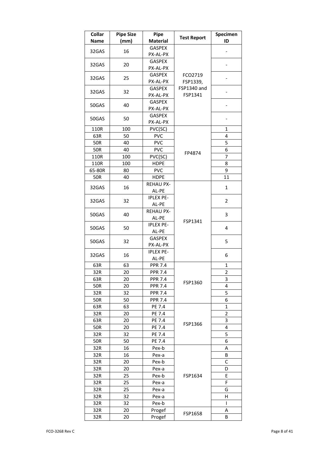| Collar<br><b>Name</b> | <b>Pipe Size</b><br>(mm) | Pipe<br><b>Material</b>   | <b>Test Report</b>     | Specimen<br>ID |
|-----------------------|--------------------------|---------------------------|------------------------|----------------|
| 32GAS                 | 16                       | <b>GASPEX</b><br>PX-AL-PX |                        |                |
| 32GAS                 | 20                       | <b>GASPEX</b><br>PX-AL-PX |                        |                |
| 32GAS                 | 25                       | <b>GASPEX</b><br>PX-AL-PX | FCO2719<br>FSP1339,    |                |
| 32GAS                 | 32                       | <b>GASPEX</b><br>PX-AL-PX | FSP1340 and<br>FSP1341 |                |
| 50GAS                 | 40                       | <b>GASPEX</b><br>PX-AL-PX |                        |                |
| 50GAS                 | 50                       | <b>GASPEX</b><br>PX-AL-PX |                        |                |
| 110R                  | 100                      | PVC(SC)                   |                        | 1              |
| 63R                   | 50                       | <b>PVC</b>                |                        | 4              |
| <b>50R</b>            | 40                       | <b>PVC</b>                |                        | 5              |
| 50R                   | 40                       | <b>PVC</b>                |                        | 6              |
| 110R                  | 100                      | PVC(SC)                   | FP4874                 | 7              |
| 110R                  | 100                      | <b>HDPE</b>               |                        | 8              |
| 65-80R                | 80                       | <b>PVC</b>                |                        | 9              |
| <b>50R</b>            | 40                       | <b>HDPE</b>               |                        | 11             |
|                       |                          | <b>REHAU PX-</b>          |                        |                |
| 32GAS                 | 16                       | AL-PE                     |                        | $\mathbf{1}$   |
| 32GAS                 | 32                       | <b>IPLEX PE-</b><br>AL-PE | FSP1341                | $\overline{2}$ |
| 50GAS                 | 40                       | <b>REHAU PX-</b><br>AL-PE |                        | 3              |
| 50GAS                 | 50                       | <b>IPLEX PE-</b><br>AL-PE |                        | 4              |
| 50GAS                 | 32                       | <b>GASPEX</b><br>PX-AL-PX |                        | 5              |
| 32GAS                 | 16                       | <b>IPLEX PE-</b><br>AL-PE |                        | 6              |
| 63R                   | 63                       | <b>PPR 7.4</b>            |                        | 1              |
| 32R                   | 20                       | <b>PPR 7.4</b>            |                        | $\overline{2}$ |
| 63R                   | 20                       | <b>PPR 7.4</b>            |                        | 3              |
| <b>50R</b>            | 20                       | <b>PPR 7.4</b>            | FSP1360                | 4              |
| 32R                   | 32                       | <b>PPR 7.4</b>            |                        | 5              |
| 50R                   | 50                       | <b>PPR 7.4</b>            |                        | 6              |
| 63R                   | 63                       | PE 7.4                    |                        | $\mathbf{1}$   |
| 32R                   | 20                       | PE 7.4                    |                        | $\overline{2}$ |
| 63R                   | 20                       | PE 7.4                    |                        | 3              |
| 50R                   | 20                       | PE 7.4                    | FSP1366                | 4              |
| 32R                   | 32                       | PE 7.4                    |                        | 5              |
| 50R                   | 50                       | PE 7.4                    |                        | 6              |
| 32R                   | 16                       | Pex-b                     |                        | А              |
|                       | 16                       |                           |                        | В              |
| 32R                   |                          | Pex-a                     |                        |                |
| 32R                   | 20                       | Pex-b                     |                        | С              |
| 32R                   | 20                       | Pex-a                     |                        | D              |
| 32R                   | 25                       | Pex-b                     | FSP1634                | Ε              |
| 32R                   | 25                       | Pex-a                     |                        | F              |
| 32R                   | 25                       | Pex-a                     |                        | G              |
| 32R                   | 32                       | Pex-a                     |                        | Н              |
| 32R                   | 32                       | Pex-b                     |                        | I              |
| 32R                   | 20                       | Progef                    | FSP1658                | Α              |
| 32R                   | 20                       | Progef                    |                        | В              |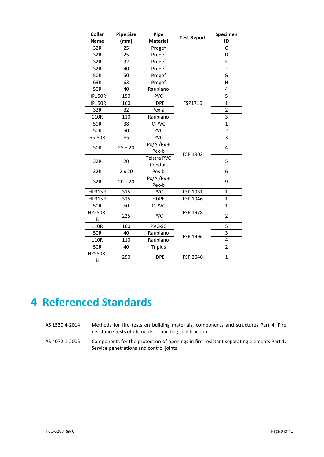| Collar<br><b>Name</b> | <b>Pipe Size</b><br>(mm) | Pipe<br><b>Material</b> | <b>Test Report</b> | Specimen<br>ID |
|-----------------------|--------------------------|-------------------------|--------------------|----------------|
| 32R                   | 25                       | Progef                  |                    | C              |
| 32R                   | 25                       | Progef                  |                    | D              |
| 32R                   | 32                       | Progef                  |                    | E              |
| 32R                   | 40                       | Progef                  |                    | F              |
| <b>50R</b>            | 50                       | Progef                  |                    | G              |
| 63R                   | 63                       | Progef                  |                    | H              |
| <b>50R</b>            | 40                       | Raupiano                |                    | 4              |
| <b>HP150R</b>         | 150                      | <b>PVC</b>              |                    | 5              |
| <b>HP150R</b>         | 160                      | <b>HDPE</b>             | FSP1716            | $\mathbf{1}$   |
| 32R                   | 32                       | Pex-a                   |                    | $\overline{2}$ |
| 110R                  | 110                      | Raupiano                |                    | 3              |
| <b>50R</b>            | 38                       | C-PVC                   |                    | $\overline{1}$ |
| 50R                   | 50                       | <b>PVC</b>              |                    | 2              |
| 65-80R                | 65                       | <b>PVC</b>              |                    | $\overline{3}$ |
| <b>50R</b>            | $25 + 20$                | $Px/AI/Px +$            |                    | 4              |
|                       |                          | Pex-b                   | FSP 1902           |                |
| 32R                   | 20                       | Telstra PVC             |                    | 5              |
|                       |                          | Conduit                 |                    |                |
| 32R                   | $2 \times 20$            | Pex-b                   |                    | 6              |
| 32R                   | $20 + 20$                | $Px/AI/Px +$            |                    | 9              |
|                       |                          | Pex-b                   |                    |                |
| <b>HP315R</b>         | 315                      | <b>PVC</b>              | FSP 1931           | $\mathbf{1}$   |
| <b>HP315R</b>         | 315                      | <b>HDPE</b>             | FSP 1946           | $\mathbf{1}$   |
| <b>50R</b>            | 50                       | C-PVC                   |                    | $\mathbf{1}$   |
| HP250R-               | 225                      | <b>PVC</b>              | FSP 1978           | $\overline{2}$ |
| B                     |                          |                         |                    |                |
| 110R                  | 100                      | PVC-SC                  |                    | 5              |
| <b>50R</b>            | 40                       | Raupiano                | FSP 1996           | 3              |
| 110R                  | 110                      | Raupiano                |                    | 4              |
| <b>50R</b>            | 40                       | <b>Triplus</b>          |                    | $\overline{2}$ |
| HP250R-<br>B          | 250                      | <b>HDPE</b>             | FSP 2040           | $\mathbf{1}$   |

## **4 Referenced Standards**

- AS 1530.4‐2014 Methods for fire tests on building materials, components and structures Part 4: Fire resistance tests of elements of building construction.
- AS 4072.1-2005 Components for the protection of openings in fire-resistant separating elements Part 1: Service penetrations and control joints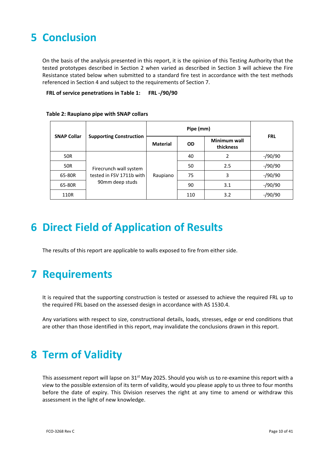# **5 Conclusion**

On the basis of the analysis presented in this report, it is the opinion of this Testing Authority that the tested prototypes described in Section 2 when varied as described in Section 3 will achieve the Fire Resistance stated below when submitted to a standard fire test in accordance with the test methods referenced in Section 4 and subject to the requirements of Section 7.

**FRL of service penetrations in Table 1: FRL -/90/90**

|                    | <b>Supporting Construction</b>                                        | Pipe (mm)       |           |                           |            |
|--------------------|-----------------------------------------------------------------------|-----------------|-----------|---------------------------|------------|
| <b>SNAP Collar</b> |                                                                       | <b>Material</b> | <b>OD</b> | Minimum wall<br>thickness | <b>FRL</b> |
| 50R                | Firecrunch wall system<br>tested in FSV 1711b with<br>90mm deep studs |                 | 40        | 2                         | $-$ /90/90 |
| 50R                |                                                                       |                 | 50        | 2.5                       | $-$ /90/90 |
| 65-80R             |                                                                       | Raupiano        | 75        | 3                         | $-$ /90/90 |
| 65-80R             |                                                                       |                 | 90        | 3.1                       | $-$ /90/90 |
| 110R               |                                                                       |                 | 110       | 3.2                       | -/90/90    |

**Table 2: Raupiano pipe with SNAP collars**

# **6 Direct Field of Application of Results**

The results of this report are applicable to walls exposed to fire from either side.

## **7 Requirements**

It is required that the supporting construction is tested or assessed to achieve the required FRL up to the required FRL based on the assessed design in accordance with AS 1530.4.

Any variations with respect to size, constructional details, loads, stresses, edge or end conditions that are other than those identified in this report, may invalidate the conclusions drawn in this report.

## **8 Term of Validity**

This assessment report will lapse on 31<sup>st</sup> May 2025. Should you wish us to re-examine this report with a view to the possible extension of its term of validity, would you please apply to us three to four months before the date of expiry. This Division reserves the right at any time to amend or withdraw this assessment in the light of new knowledge.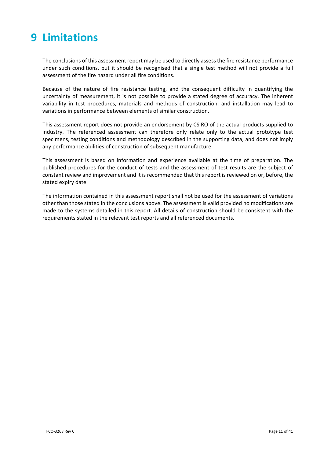# **9 Limitations**

The conclusions of this assessment report may be used to directly assessthe fire resistance performance under such conditions, but it should be recognised that a single test method will not provide a full assessment of the fire hazard under all fire conditions.

Because of the nature of fire resistance testing, and the consequent difficulty in quantifying the uncertainty of measurement, it is not possible to provide a stated degree of accuracy. The inherent variability in test procedures, materials and methods of construction, and installation may lead to variations in performance between elements of similar construction.

This assessment report does not provide an endorsement by CSIRO of the actual products supplied to industry. The referenced assessment can therefore only relate only to the actual prototype test specimens, testing conditions and methodology described in the supporting data, and does not imply any performance abilities of construction of subsequent manufacture.

This assessment is based on information and experience available at the time of preparation. The published procedures for the conduct of tests and the assessment of test results are the subject of constant review and improvement and it is recommended that this report is reviewed on or, before, the stated expiry date.

The information contained in this assessment report shall not be used for the assessment of variations other than those stated in the conclusions above. The assessment is valid provided no modifications are made to the systems detailed in this report. All details of construction should be consistent with the requirements stated in the relevant test reports and all referenced documents.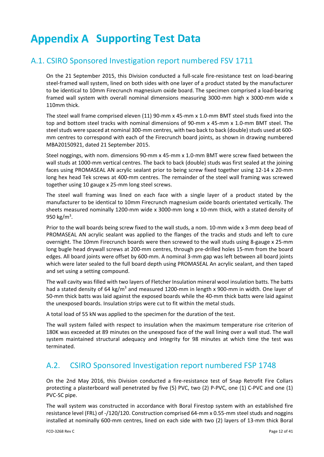# **Appendix A Supporting Test Data**

### A.1. CSIRO Sponsored Investigation report numbered FSV 1711

On the 21 September 2015, this Division conducted a full‐scale fire‐resistance test on load‐bearing steel-framed wall system, lined on both sides with one layer of a product stated by the manufacturer to be identical to 10mm Firecrunch magnesium oxide board. The specimen comprised a load‐bearing framed wall system with overall nominal dimensions measuring 3000‐mm high x 3000‐mm wide x 110mm thick.

The steel wall frame comprised eleven (11) 90-mm x 45-mm x 1.0-mm BMT steel studs fixed into the top and bottom steel tracks with nominal dimensions of 90-mm x 45-mm x 1.0-mm BMT steel. The steel studs were spaced at nominal 300-mm centres, with two back to back (double) studs used at 600mm centres to correspond with each of the Firecrunch board joints, as shown in drawing numbered MBA20150921, dated 21 September 2015.

Steel noggings, with nom. dimensions 90‐mm x 45‐mm x 1.0‐mm BMT were screw fixed between the wall studs at 1000-mm vertical centres. The back to back (double) studs was first sealed at the joining faces using PROMASEAL AN acrylic sealant prior to being screw fixed together using 12‐14 x 20‐mm long hex head Tek screws at 400-mm centres. The remainder of the steel wall framing was screwed together using 10 gauge x 25‐mm long steel screws.

The steel wall framing was lined on each face with a single layer of a product stated by the manufacturer to be identical to 10mm Firecrunch magnesium oxide boards orientated vertically. The sheets measured nominally 1200‐mm wide x 3000‐mm long x 10‐mm thick, with a stated density of 950 kg/m<sup>3</sup>.

Prior to the wall boards being screw fixed to the wall studs, a nom. 10‐mm wide x 3‐mm deep bead of PROMASEAL AN acrylic sealant was applied to the flanges of the tracks and studs and left to cure overnight. The 10mm Firecrunch boards were then screwed to the wall studs using 8‐gauge x 25‐mm long bugle head drywall screws at 200‐mm centres, through pre‐drilled holes 15‐mm from the board edges. All board joints were offset by 600-mm. A nominal 3-mm gap was left between all board joints which were later sealed to the full board depth using PROMASEAL An acrylic sealant, and then taped and set using a setting compound.

The wall cavity was filled with two layers of Fletcher Insulation mineral wool insulation batts. The batts had a stated density of 64 kg/m<sup>3</sup> and measured 1200-mm in length x 900-mm in width. One layer of 50-mm thick batts was laid against the exposed boards while the 40-mm thick batts were laid against the unexposed boards. Insulation strips were cut to fit within the metal studs.

A total load of 55 kN was applied to the specimen for the duration of the test.

The wall system failed with respect to insulation when the maximum temperature rise criterion of 180K was exceeded at 89 minutes on the unexposed face of the wall lining over a wall stud. The wall system maintained structural adequacy and integrity for 98 minutes at which time the test was terminated.

## A.2. CSIRO Sponsored Investigation report numbered FSP 1748

On the 2nd May 2016, this Division conducted a fire‐resistance test of Snap Retrofit Fire Collars protecting a plasterboard wall penetrated by five (5) PVC, two (2) P‐PVC, one (1) C‐PVC and one (1) PVC‐SC pipe.

The wall system was constructed in accordance with Boral Firestop system with an established fire resistance level (FRL) of ‐/120/120. Construction comprised 64‐mm x 0.55‐mm steel studs and noggins installed at nominally 600‐mm centres, lined on each side with two (2) layers of 13‐mm thick Boral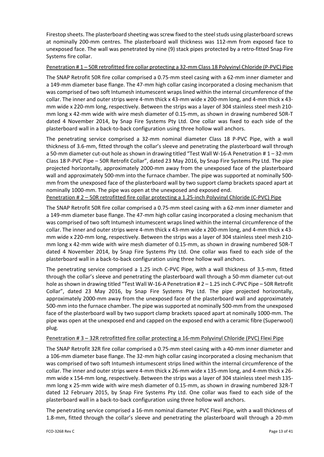Firestop sheets. The plasterboard sheeting was screw fixed to the steel studs using plasterboard screws at nominally 200‐mm centres. The plasterboard wall thickness was 112‐mm from exposed face to unexposed face. The wall was penetrated by nine (9) stack pipes protected by a retro‐fitted Snap Fire Systems fire collar.

#### Penetration # 1 – 50R retrofitted fire collar protecting a 32‐mm Class 18 Polyvinyl Chloride (P‐PVC) Pipe

The SNAP Retrofit 50R fire collar comprised a 0.75‐mm steel casing with a 62‐mm inner diameter and a 149‐mm diameter base flange. The 47‐mm high collar casing incorporated a closing mechanism that was comprised of two soft Intumesh intumescent wraps lined within the internal circumference of the collar. The inner and outer strips were 4-mm thick x 43-mm wide x 200-mm long, and 4-mm thick x 43mm wide x 220-mm long, respectively. Between the strips was a layer of 304 stainless steel mesh 210mm long x 42‐mm wide with wire mesh diameter of 0.15‐mm, as shown in drawing numbered 50R‐T dated 4 November 2014, by Snap Fire Systems Pty Ltd. One collar was fixed to each side of the plasterboard wall in a back‐to‐back configuration using three hollow wall anchors.

The penetrating service comprised a 32‐mm nominal diameter Class 18 P‐PVC Pipe, with a wall thickness of 3.6‐mm, fitted through the collar's sleeve and penetrating the plasterboard wall through a 50-mm diameter cut-out hole as shown in drawing titled "Test Wall W-16-A Penetration # 1 – 32-mm Class 18 P‐PVC Pipe – 50R Retrofit Collar", dated 23 May 2016, by Snap Fire Systems Pty Ltd. The pipe projected horizontally, approximately 2000‐mm away from the unexposed face of the plasterboard wall and approximately 500-mm into the furnace chamber. The pipe was supported at nominally 500mm from the unexposed face of the plasterboard wall by two support clamp brackets spaced apart at nominally 1000‐mm. The pipe was open at the unexposed and exposed end.

Penetration # 2 – 50R retrofitted fire collar protecting a 1.25‐inch Polyvinyl Chloride (C‐PVC) Pipe

The SNAP Retrofit 50R fire collar comprised a 0.75‐mm steel casing with a 62‐mm inner diameter and a 149‐mm diameter base flange. The 47‐mm high collar casing incorporated a closing mechanism that was comprised of two soft Intumesh intumescent wraps lined within the internal circumference of the collar. The inner and outer strips were 4‐mm thick x 43‐mm wide x 200‐mm long, and 4‐mm thick x 43‐ mm wide x 220‐mm long, respectively. Between the strips was a layer of 304 stainless steel mesh 210‐ mm long x 42‐mm wide with wire mesh diameter of 0.15‐mm, as shown in drawing numbered 50R‐T dated 4 November 2014, by Snap Fire Systems Pty Ltd. One collar was fixed to each side of the plasterboard wall in a back‐to‐back configuration using three hollow wall anchors.

The penetrating service comprised a 1.25 inch C‐PVC Pipe, with a wall thickness of 3.5‐mm, fitted through the collar's sleeve and penetrating the plasterboard wall through a 50‐mm diameter cut‐out hole as shown in drawing titled "Test Wall W-16-A Penetration # 2 – 1.25 inch C-PVC Pipe – 50R Retrofit Collar", dated 23 May 2016, by Snap Fire Systems Pty Ltd. The pipe projected horizontally, approximately 2000‐mm away from the unexposed face of the plasterboard wall and approximately 500‐mm into the furnace chamber. The pipe was supported at nominally 500‐mm from the unexposed face of the plasterboard wall by two support clamp brackets spaced apart at nominally 1000-mm. The pipe was open at the unexposed end and capped on the exposed end with a ceramic fibre (Superwool) plug.

#### Penetration # 3 – 32R retrofitted fire collar protecting a 16‐mm Polyvinyl Chloride (PVC) Flexi Pipe

The SNAP Retrofit 32R fire collar comprised a 0.75‐mm steel casing with a 40‐mm inner diameter and a 106‐mm diameter base flange. The 32‐mm high collar casing incorporated a closing mechanism that was comprised of two soft Intumesh intumescent strips lined within the internal circumference of the collar. The inner and outer strips were 4-mm thick x 26-mm wide x 135-mm long, and 4-mm thick x 26mm wide x 154‐mm long, respectively. Between the strips was a layer of 304 stainless steel mesh 135‐ mm long x 25‐mm wide with wire mesh diameter of 0.15‐mm, as shown in drawing numbered 32R‐T dated 12 February 2015, by Snap Fire Systems Pty Ltd. One collar was fixed to each side of the plasterboard wall in a back‐to‐back configuration using three hollow wall anchors.

The penetrating service comprised a 16‐mm nominal diameter PVC Flexi Pipe, with a wall thickness of 1.8‐mm, fitted through the collar's sleeve and penetrating the plasterboard wall through a 20‐mm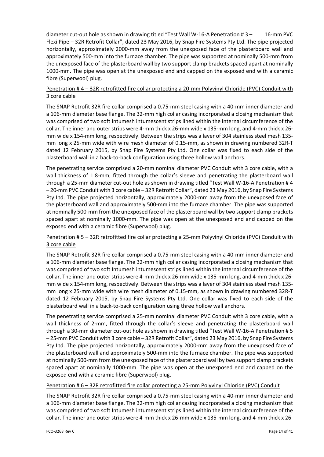diameter cut-out hole as shown in drawing titled "Test Wall W-16-A Penetration # 3 – 16-mm PVC Flexi Pipe – 32R Retrofit Collar", dated 23 May 2016, by Snap Fire Systems Pty Ltd. The pipe projected horizontally, approximately 2000‐mm away from the unexposed face of the plasterboard wall and approximately 500‐mm into the furnace chamber. The pipe was supported at nominally 500‐mm from the unexposed face of the plasterboard wall by two support clamp brackets spaced apart at nominally 1000‐mm. The pipe was open at the unexposed end and capped on the exposed end with a ceramic fibre (Superwool) plug.

#### Penetration # 4 – 32R retrofitted fire collar protecting a 20‐mm Polyvinyl Chloride (PVC) Conduit with 3 core cable

The SNAP Retrofit 32R fire collar comprised a 0.75‐mm steel casing with a 40‐mm inner diameter and a 106‐mm diameter base flange. The 32‐mm high collar casing incorporated a closing mechanism that was comprised of two soft Intumesh intumescent strips lined within the internal circumference of the collar. The inner and outer strips were 4‐mm thick x 26‐mm wide x 135‐mm long, and 4‐mm thick x 26‐ mm wide x 154‐mm long, respectively. Between the strips was a layer of 304 stainless steel mesh 135‐ mm long x 25‐mm wide with wire mesh diameter of 0.15‐mm, as shown in drawing numbered 32R‐T dated 12 February 2015, by Snap Fire Systems Pty Ltd. One collar was fixed to each side of the plasterboard wall in a back‐to‐back configuration using three hollow wall anchors.

The penetrating service comprised a 20-mm nominal diameter PVC Conduit with 3 core cable, with a wall thickness of 1.8-mm, fitted through the collar's sleeve and penetrating the plasterboard wall through a 25-mm diameter cut-out hole as shown in drawing titled "Test Wall W-16-A Penetration # 4 – 20‐mm PVC Conduit with 3 core cable – 32R Retrofit Collar", dated 23 May 2016, by Snap Fire Systems Pty Ltd. The pipe projected horizontally, approximately 2000‐mm away from the unexposed face of the plasterboard wall and approximately 500‐mm into the furnace chamber. The pipe was supported at nominally 500‐mm from the unexposed face of the plasterboard wall by two support clamp brackets spaced apart at nominally 1000-mm. The pipe was open at the unexposed end and capped on the exposed end with a ceramic fibre (Superwool) plug.

### Penetration # 5 – 32R retrofitted fire collar protecting a 25‐mm Polyvinyl Chloride (PVC) Conduit with 3 core cable

The SNAP Retrofit 32R fire collar comprised a 0.75‐mm steel casing with a 40‐mm inner diameter and a 106‐mm diameter base flange. The 32‐mm high collar casing incorporated a closing mechanism that was comprised of two soft Intumesh intumescent strips lined within the internal circumference of the collar. The inner and outer strips were 4‐mm thick x 26‐mm wide x 135‐mm long, and 4‐mm thick x 26‐ mm wide x 154‐mm long, respectively. Between the strips was a layer of 304 stainless steel mesh 135‐ mm long x 25-mm wide with wire mesh diameter of 0.15-mm, as shown in drawing numbered 32R-T dated 12 February 2015, by Snap Fire Systems Pty Ltd. One collar was fixed to each side of the plasterboard wall in a back‐to‐back configuration using three hollow wall anchors.

The penetrating service comprised a 25‐mm nominal diameter PVC Conduit with 3 core cable, with a wall thickness of 2-mm, fitted through the collar's sleeve and penetrating the plasterboard wall through a 30-mm diameter cut-out hole as shown in drawing titled "Test Wall W-16-A Penetration # 5 – 25‐mm PVC Conduit with 3 core cable – 32R Retrofit Collar", dated 23 May 2016, by Snap Fire Systems Pty Ltd. The pipe projected horizontally, approximately 2000‐mm away from the unexposed face of the plasterboard wall and approximately 500‐mm into the furnace chamber. The pipe was supported at nominally 500‐mm from the unexposed face of the plasterboard wall by two support clamp brackets spaced apart at nominally 1000-mm. The pipe was open at the unexposed end and capped on the exposed end with a ceramic fibre (Superwool) plug.

#### Penetration # 6 - 32R retrofitted fire collar protecting a 25-mm Polyvinyl Chloride (PVC) Conduit

The SNAP Retrofit 32R fire collar comprised a 0.75‐mm steel casing with a 40‐mm inner diameter and a 106‐mm diameter base flange. The 32‐mm high collar casing incorporated a closing mechanism that was comprised of two soft Intumesh intumescent strips lined within the internal circumference of the collar. The inner and outer strips were 4-mm thick x 26-mm wide x 135-mm long, and 4-mm thick x 26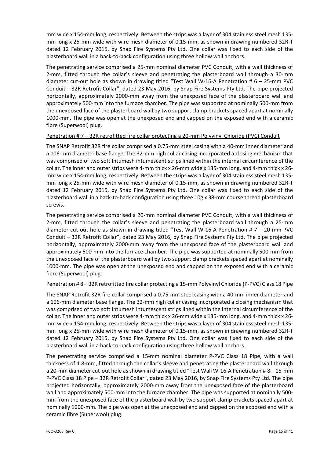mm wide x 154‐mm long, respectively. Between the strips was a layer of 304 stainless steel mesh 135‐ mm long x 25-mm wide with wire mesh diameter of 0.15-mm, as shown in drawing numbered 32R-T dated 12 February 2015, by Snap Fire Systems Pty Ltd. One collar was fixed to each side of the plasterboard wall in a back‐to‐back configuration using three hollow wall anchors.

The penetrating service comprised a 25‐mm nominal diameter PVC Conduit, with a wall thickness of 2‐mm, fitted through the collar's sleeve and penetrating the plasterboard wall through a 30‐mm diameter cut-out hole as shown in drawing titled "Test Wall W-16-A Penetration # 6 - 25-mm PVC Conduit – 32R Retrofit Collar", dated 23 May 2016, by Snap Fire Systems Pty Ltd. The pipe projected horizontally, approximately 2000‐mm away from the unexposed face of the plasterboard wall and approximately 500‐mm into the furnace chamber. The pipe was supported at nominally 500‐mm from the unexposed face of the plasterboard wall by two support clamp brackets spaced apart at nominally 1000-mm. The pipe was open at the unexposed end and capped on the exposed end with a ceramic fibre (Superwool) plug.

#### Penetration # 7 – 32R retrofitted fire collar protecting a 20-mm Polyvinyl Chloride (PVC) Conduit

The SNAP Retrofit 32R fire collar comprised a 0.75‐mm steel casing with a 40‐mm inner diameter and a 106‐mm diameter base flange. The 32‐mm high collar casing incorporated a closing mechanism that was comprised of two soft Intumesh intumescent strips lined within the internal circumference of the collar. The inner and outer strips were 4‐mm thick x 26‐mm wide x 135‐mm long, and 4‐mm thick x 26‐ mm wide x 154‐mm long, respectively. Between the strips was a layer of 304 stainless steel mesh 135‐ mm long x 25-mm wide with wire mesh diameter of 0.15-mm, as shown in drawing numbered 32R-T dated 12 February 2015, by Snap Fire Systems Pty Ltd. One collar was fixed to each side of the plasterboard wall in a back‐to‐back configuration using three 10g x 38‐mm course thread plasterboard screws.

The penetrating service comprised a 20‐mm nominal diameter PVC Conduit, with a wall thickness of 2‐mm, fitted through the collar's sleeve and penetrating the plasterboard wall through a 25‐mm diameter cut‐out hole as shown in drawing titled "Test Wall W‐16‐A Penetration # 7 – 20‐mm PVC Conduit – 32R Retrofit Collar", dated 23 May 2016, by Snap Fire Systems Pty Ltd. The pipe projected horizontally, approximately 2000‐mm away from the unexposed face of the plasterboard wall and approximately 500‐mm into the furnace chamber. The pipe was supported at nominally 500‐mm from the unexposed face of the plasterboard wall by two support clamp brackets spaced apart at nominally 1000‐mm. The pipe was open at the unexposed end and capped on the exposed end with a ceramic fibre (Superwool) plug.

#### Penetration # 8 – 32R retrofitted fire collar protecting a 15‐mm Polyvinyl Chloride (P‐PVC) Class 18 Pipe

The SNAP Retrofit 32R fire collar comprised a 0.75‐mm steel casing with a 40‐mm inner diameter and a 106‐mm diameter base flange. The 32‐mm high collar casing incorporated a closing mechanism that was comprised of two soft Intumesh intumescent strips lined within the internal circumference of the collar. The inner and outer strips were 4‐mm thick x 26‐mm wide x 135‐mm long, and 4‐mm thick x 26‐ mm wide x 154‐mm long, respectively. Between the strips was a layer of 304 stainless steel mesh 135‐ mm long x 25-mm wide with wire mesh diameter of 0.15-mm, as shown in drawing numbered 32R-T dated 12 February 2015, by Snap Fire Systems Pty Ltd. One collar was fixed to each side of the plasterboard wall in a back‐to‐back configuration using three hollow wall anchors.

The penetrating service comprised a 15‐mm nominal diameter P‐PVC Class 18 Pipe, with a wall thickness of 1.8‐mm, fitted through the collar's sleeve and penetrating the plasterboard wall through a 20-mm diameter cut-out hole as shown in drawing titled "Test Wall W-16-A Penetration # 8 – 15-mm P‐PVC Class 18 Pipe – 32R Retrofit Collar", dated 23 May 2016, by Snap Fire Systems Pty Ltd. The pipe projected horizontally, approximately 2000‐mm away from the unexposed face of the plasterboard wall and approximately 500-mm into the furnace chamber. The pipe was supported at nominally 500mm from the unexposed face of the plasterboard wall by two support clamp brackets spaced apart at nominally 1000‐mm. The pipe was open at the unexposed end and capped on the exposed end with a ceramic fibre (Superwool) plug.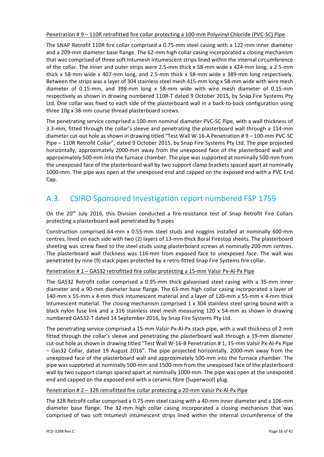Penetration # 9 – 110R retrofitted fire collar protecting a 100‐mm Polyvinyl Chloride (PVC‐SC) Pipe

The SNAP Retrofit 110R fire collar comprised a 0.75‐mm steel casing with a 122‐mm inner diameter and a 209‐mm diameter base flange. The 62‐mm high collar casing incorporated a closing mechanism that was comprised of three soft Intumesh intumescent strips lined within the internal circumference of the collar. The inner and outer strips were 2.5‐mm thick x 58‐mm wide x 424‐mm long, a 2.5‐mm thick x 58‐mm wide x 407‐mm long, and 2.5‐mm thick x 58‐mm wide x 389‐mm long respectively. Between the strips was a layer of 304 stainless steel mesh 415‐mm long x 58‐mm wide with wire mesh diameter of 0.15‐mm, and 398‐mm long x 58‐mm wide with wire mesh diameter of 0.15‐mm respectively as shown in drawing numbered 110R‐T dated 9 October 2015, by Snap Fire Systems Pty Ltd. One collar was fixed to each side of the plasterboard wall in a back-to-back configuration using three 10g x 38‐mm course thread plasterboard screws.

The penetrating service comprised a 100‐mm nominal diameter PVC‐SC Pipe, with a wall thickness of 3.3‐mm, fitted through the collar's sleeve and penetrating the plasterboard wall through a 114‐mm diameter cut‐out hole as shown in drawing titled "Test Wall W‐16‐A Penetration # 9 – 100‐mm PVC‐SC Pipe – 110R Retrofit Collar", dated 9 October 2015, by Snap Fire Systems Pty Ltd. The pipe projected horizontally, approximately 2000‐mm away from the unexposed face of the plasterboard wall and approximately 500‐mm into the furnace chamber. The pipe was supported at nominally 500‐mm from the unexposed face of the plasterboard wall by two support clamp brackets spaced apart at nominally 1000‐mm. The pipe was open at the unexposed end and capped on the exposed end with a PVC End Cap.

## A.3. CSIRO Sponsored Investigation report numbered FSP 1759

On the 20<sup>th</sup> July 2016, this Division conducted a fire-resistance test of Snap Retrofit Fire Collars protecting a plasterboard wall penetrated by 9 pipes

Construction comprised 64‐mm x 0.55‐mm steel studs and noggins installed at nominally 600‐mm centres, lined on each side with two (2) layers of 13‐mm thick Boral Firestop sheets. The plasterboard sheeting was screw fixed to the steel studs using plasterboard screws at nominally 200-mm centres. The plasterboard wall thickness was 116‐mm from exposed face to unexposed face. The wall was penetrated by nine (9) stack pipes protected by a retro-fitted Snap Fire Systems fire collar.

#### Penetration # 1 – GAS32 retrofitted fire collar protecting a 15‐mm Valsir Px‐Al‐Px Pipe

The GAS32 Retrofit collar comprised a 0.95‐mm thick galvanised steel casing with a 35‐mm inner diameter and a 90‐mm diameter base flange. The 63‐mm high collar casing incorporated a layer of 140‐mm x 55‐mm x 4‐mm thick Intumescent material and a layer of 120‐mm x 55‐mm x 4‐mm thick Intumescent material. The closing mechanism comprised 1 x 304 stainless steel spring bound with a black nylon fuse link and a 316 stainless steel mesh measuring 120 x 54‐mm as shown in drawing numbered GAS32‐T dated 14 September 2016, by Snap Fire Systems Pty Ltd.

The penetrating service comprised a 15‐mm Valsir Px‐Al‐Px stack pipe, with a wall thickness of 2‐mm fitted through the collar's sleeve and penetrating the plasterboard wall through a 19‐mm diameter cut-out hole as shown in drawing titled "Test Wall W-16-B Penetration # 1, 15-mm Valsir Px-Al-Px Pipe – Gas32 Collar, dated 19 August 2016". The pipe projected horizontally, 2000‐mm away from the unexposed face of the plasterboard wall and approximately 500‐mm into the furnace chamber. The pipe was supported at nominally 500‐mm and 1500‐mm from the unexposed face of the plasterboard wall by two support clamps spaced apart at nominally 1000-mm. The pipe was open at the unexposed end and capped on the exposed end with a ceramic fibre (Superwool) plug.

#### Penetration # 2 – 32R retrofitted fire collar protecting a 20‐mm Valsir Px‐Al‐Px Pipe

The 32R Retrofit collar comprised a 0.75‐mm steel casing with a 40‐mm inner diameter and a 106‐mm diameter base flange. The 32‐mm high collar casing incorporated a closing mechanism that was comprised of two soft Intumesh intumescent strips lined within the internal circumference of the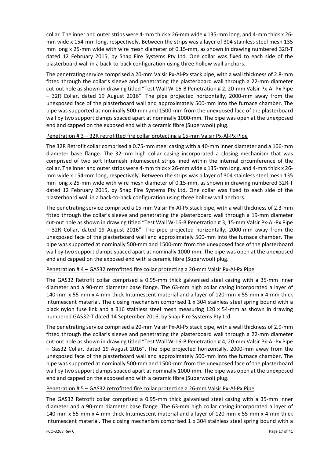collar. The inner and outer strips were 4‐mm thick x 26‐mm wide x 135‐mm long, and 4‐mm thick x 26‐ mm wide x 154‐mm long, respectively. Between the strips was a layer of 304 stainless steel mesh 135 mm long x 25-mm wide with wire mesh diameter of 0.15-mm, as shown in drawing numbered 32R-T dated 12 February 2015, by Snap Fire Systems Pty Ltd. One collar was fixed to each side of the plasterboard wall in a back‐to‐back configuration using three hollow wall anchors.

The penetrating service comprised a 20-mm Valsir Px-Al-Px stack pipe, with a wall thickness of 2.8-mm fitted through the collar's sleeve and penetrating the plasterboard wall through a 22‐mm diameter cut-out hole as shown in drawing titled "Test Wall W-16-B Penetration # 2, 20-mm Valsir Px-Al-Px Pipe – 32R Collar, dated 19 August 2016". The pipe projected horizontally, 2000‐mm away from the unexposed face of the plasterboard wall and approximately 500‐mm into the furnace chamber. The pipe was supported at nominally 500‐mm and 1500‐mm from the unexposed face of the plasterboard wall by two support clamps spaced apart at nominally 1000‐mm. The pipe was open at the unexposed end and capped on the exposed end with a ceramic fibre (Superwool) plug.

#### Penetration # 3 – 32R retrofitted fire collar protecting a 15‐mm Valsir Px‐Al‐Px Pipe

The 32R Retrofit collar comprised a 0.75‐mm steel casing with a 40‐mm inner diameter and a 106‐mm diameter base flange. The 32‐mm high collar casing incorporated a closing mechanism that was comprised of two soft Intumesh intumescent strips lined within the internal circumference of the collar. The inner and outer strips were 4‐mm thick x 26‐mm wide x 135‐mm long, and 4‐mm thick x 26‐ mm wide x 154‐mm long, respectively. Between the strips was a layer of 304 stainless steel mesh 135 mm long x 25-mm wide with wire mesh diameter of 0.15-mm, as shown in drawing numbered 32R-T dated 12 February 2015, by Snap Fire Systems Pty Ltd. One collar was fixed to each side of the plasterboard wall in a back‐to‐back configuration using three hollow wall anchors.

The penetrating service comprised a 15‐mm Valsir Px‐Al‐Px stack pipe, with a wall thickness of 2.3‐mm fitted through the collar's sleeve and penetrating the plasterboard wall through a 19‐mm diameter cut-out hole as shown in drawing titled "Test Wall W-16-B Penetration # 3, 15-mm Valsir Px-Al-Px Pipe – 32R Collar, dated 19 August 2016". The pipe projected horizontally, 2000‐mm away from the unexposed face of the plasterboard wall and approximately 500‐mm into the furnace chamber. The pipe was supported at nominally 500‐mm and 1500‐mm from the unexposed face of the plasterboard wall by two support clamps spaced apart at nominally 1000-mm. The pipe was open at the unexposed end and capped on the exposed end with a ceramic fibre (Superwool) plug.

#### Penetration # 4 – GAS32 retrofitted fire collar protecting a 20-mm Valsir Px-Al-Px Pipe

The GAS32 Retrofit collar comprised a 0.95‐mm thick galvanised steel casing with a 35‐mm inner diameter and a 90‐mm diameter base flange. The 63‐mm high collar casing incorporated a layer of 140‐mm x 55‐mm x 4‐mm thick Intumescent material and a layer of 120‐mm x 55‐mm x 4‐mm thick Intumescent material. The closing mechanism comprised 1 x 304 stainless steel spring bound with a black nylon fuse link and a 316 stainless steel mesh measuring 120 x 54‐mm as shown in drawing numbered GAS32‐T dated 14 September 2016, by Snap Fire Systems Pty Ltd.

The penetrating service comprised a 20‐mm Valsir Px‐Al‐Px stack pipe, with a wall thickness of 2.9‐mm fitted through the collar's sleeve and penetrating the plasterboard wall through a 22‐mm diameter cut-out hole as shown in drawing titled "Test Wall W-16-B Penetration # 4, 20-mm Valsir Px-Al-Px Pipe – Gas32 Collar, dated 19 August 2016". The pipe projected horizontally, 2000‐mm away from the unexposed face of the plasterboard wall and approximately 500‐mm into the furnace chamber. The pipe was supported at nominally 500‐mm and 1500‐mm from the unexposed face of the plasterboard wall by two support clamps spaced apart at nominally 1000-mm. The pipe was open at the unexposed end and capped on the exposed end with a ceramic fibre (Superwool) plug.

#### Penetration # 5 – GAS32 retrofitted fire collar protecting a 26‐mm Valsir Px‐Al‐Px Pipe

The GAS32 Retrofit collar comprised a 0.95‐mm thick galvanised steel casing with a 35‐mm inner diameter and a 90‐mm diameter base flange. The 63‐mm high collar casing incorporated a layer of 140‐mm x 55‐mm x 4‐mm thick Intumescent material and a layer of 120‐mm x 55‐mm x 4‐mm thick Intumescent material. The closing mechanism comprised 1 x 304 stainless steel spring bound with a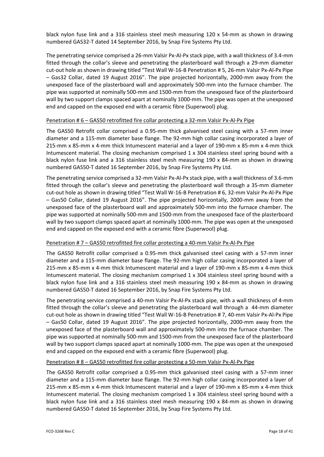black nylon fuse link and a 316 stainless steel mesh measuring 120 x 54‐mm as shown in drawing numbered GAS32‐T dated 14 September 2016, by Snap Fire Systems Pty Ltd.

The penetrating service comprised a 26‐mm Valsir Px‐Al‐Px stack pipe, with a wall thickness of 3.4‐mm fitted through the collar's sleeve and penetrating the plasterboard wall through a 29‐mm diameter cut‐out hole as shown in drawing titled "Test Wall W‐16‐B Penetration # 5, 26‐mm Valsir Px‐Al‐Px Pipe – Gas32 Collar, dated 19 August 2016". The pipe projected horizontally, 2000‐mm away from the unexposed face of the plasterboard wall and approximately 500‐mm into the furnace chamber. The pipe was supported at nominally 500‐mm and 1500‐mm from the unexposed face of the plasterboard wall by two support clamps spaced apart at nominally 1000-mm. The pipe was open at the unexposed end and capped on the exposed end with a ceramic fibre (Superwool) plug.

#### Penetration # 6 – GAS50 retrofitted fire collar protecting a 32-mm Valsir Px-Al-Px Pipe

The GAS50 Retrofit collar comprised a 0.95‐mm thick galvanised steel casing with a 57‐mm inner diameter and a 115‐mm diameter base flange. The 92‐mm high collar casing incorporated a layer of 215‐mm x 85‐mm x 4‐mm thick Intumescent material and a layer of 190‐mm x 85‐mm x 4‐mm thick Intumescent material. The closing mechanism comprised 1 x 304 stainless steel spring bound with a black nylon fuse link and a 316 stainless steel mesh measuring 190 x 84‐mm as shown in drawing numbered GAS50‐T dated 16 September 2016, by Snap Fire Systems Pty Ltd.

The penetrating service comprised a 32‐mm Valsir Px‐Al‐Px stack pipe, with a wall thickness of 3.6‐mm fitted through the collar's sleeve and penetrating the plasterboard wall through a 35‐mm diameter cut‐out hole as shown in drawing titled "Test Wall W‐16‐B Penetration # 6, 32‐mm Valsir Px‐Al‐Px Pipe – Gas50 Collar, dated 19 August 2016". The pipe projected horizontally, 2000‐mm away from the unexposed face of the plasterboard wall and approximately 500‐mm into the furnace chamber. The pipe was supported at nominally 500‐mm and 1500‐mm from the unexposed face of the plasterboard wall by two support clamps spaced apart at nominally 1000-mm. The pipe was open at the unexposed end and capped on the exposed end with a ceramic fibre (Superwool) plug.

#### Penetration # 7 – GAS50 retrofitted fire collar protecting a 40‐mm Valsir Px‐Al‐Px Pipe

The GAS50 Retrofit collar comprised a 0.95‐mm thick galvanised steel casing with a 57‐mm inner diameter and a 115‐mm diameter base flange. The 92‐mm high collar casing incorporated a layer of 215‐mm x 85‐mm x 4‐mm thick Intumescent material and a layer of 190‐mm x 85‐mm x 4‐mm thick Intumescent material. The closing mechanism comprised 1 x 304 stainless steel spring bound with a black nylon fuse link and a 316 stainless steel mesh measuring 190 x 84‐mm as shown in drawing numbered GAS50‐T dated 16 September 2016, by Snap Fire Systems Pty Ltd.

The penetrating service comprised a 40‐mm Valsir Px‐Al‐Px stack pipe, with a wall thickness of 4‐mm fitted through the collar's sleeve and penetrating the plasterboard wall through a 44‐mm diameter cut‐out hole as shown in drawing titled "Test Wall W‐16‐B Penetration # 7, 40‐mm Valsir Px‐Al‐Px Pipe – Gas50 Collar, dated 19 August 2016". The pipe projected horizontally, 2000‐mm away from the unexposed face of the plasterboard wall and approximately 500‐mm into the furnace chamber. The pipe was supported at nominally 500‐mm and 1500‐mm from the unexposed face of the plasterboard wall by two support clamps spaced apart at nominally 1000-mm. The pipe was open at the unexposed end and capped on the exposed end with a ceramic fibre (Superwool) plug.

#### Penetration # 8 – GAS50 retrofitted fire collar protecting a 50‐mm Valsir Px‐Al‐Px Pipe

The GAS50 Retrofit collar comprised a 0.95‐mm thick galvanised steel casing with a 57‐mm inner diameter and a 115‐mm diameter base flange. The 92‐mm high collar casing incorporated a layer of 215‐mm x 85‐mm x 4‐mm thick Intumescent material and a layer of 190‐mm x 85‐mm x 4‐mm thick Intumescent material. The closing mechanism comprised 1 x 304 stainless steel spring bound with a black nylon fuse link and a 316 stainless steel mesh measuring 190 x 84‐mm as shown in drawing numbered GAS50‐T dated 16 September 2016, by Snap Fire Systems Pty Ltd.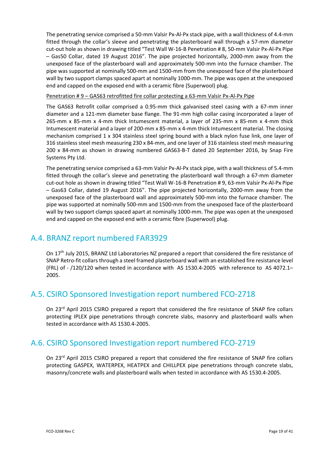The penetrating service comprised a 50‐mm Valsir Px‐Al‐Px stack pipe, with a wall thickness of 4.4‐mm fitted through the collar's sleeve and penetrating the plasterboard wall through a 57‐mm diameter cut‐out hole as shown in drawing titled "Test Wall W‐16‐B Penetration # 8, 50‐mm Valsir Px‐Al‐Px Pipe – Gas50 Collar, dated 19 August 2016". The pipe projected horizontally, 2000‐mm away from the unexposed face of the plasterboard wall and approximately 500‐mm into the furnace chamber. The pipe was supported at nominally 500‐mm and 1500‐mm from the unexposed face of the plasterboard wall by two support clamps spaced apart at nominally 1000-mm. The pipe was open at the unexposed end and capped on the exposed end with a ceramic fibre (Superwool) plug.

Penetration # 9 – GAS63 retrofitted fire collar protecting a 63-mm Valsir Px-Al-Px Pipe

The GAS63 Retrofit collar comprised a 0.95‐mm thick galvanised steel casing with a 67‐mm inner diameter and a 121‐mm diameter base flange. The 91‐mm high collar casing incorporated a layer of 265‐mm x 85‐mm x 4‐mm thick Intumescent material, a layer of 235‐mm x 85‐mm x 4‐mm thick Intumescent material and a layer of 200‐mm x 85‐mm x 4‐mm thick Intumescent material. The closing mechanism comprised 1 x 304 stainless steel spring bound with a black nylon fuse link, one layer of 316 stainless steel mesh measuring 230 x 84‐mm, and one layer of 316 stainless steel mesh measuring 200 x 84‐mm as shown in drawing numbered GAS63‐B‐T dated 20 September 2016, by Snap Fire Systems Pty Ltd.

The penetrating service comprised a 63-mm Valsir Px-Al-Px stack pipe, with a wall thickness of 5.4-mm fitted through the collar's sleeve and penetrating the plasterboard wall through a 67‐mm diameter cut‐out hole as shown in drawing titled "Test Wall W‐16‐B Penetration # 9, 63‐mm Valsir Px‐Al‐Px Pipe – Gas63 Collar, dated 19 August 2016". The pipe projected horizontally, 2000‐mm away from the unexposed face of the plasterboard wall and approximately 500‐mm into the furnace chamber. The pipe was supported at nominally 500‐mm and 1500‐mm from the unexposed face of the plasterboard wall by two support clamps spaced apart at nominally 1000-mm. The pipe was open at the unexposed end and capped on the exposed end with a ceramic fibre (Superwool) plug.

## A.4. BRANZ report numbered FAR3929

On 17th July 2015, BRANZ Ltd Laboratories NZ prepared a report that considered the fire resistance of SNAP Retro-fit collars through a steel framed plasterboard wall with an established fire resistance level (FRL) of ‐ /120/120 when tested in accordance with AS 1530.4‐2005 with reference to AS 4072.1– 2005.

## A.5. CSIRO Sponsored Investigation report numbered FCO‐2718

On 23<sup>rd</sup> April 2015 CSIRO prepared a report that considered the fire resistance of SNAP fire collars protecting IPLEX pipe penetrations through concrete slabs, masonry and plasterboard walls when tested in accordance with AS 1530.4‐2005.

## A.6. CSIRO Sponsored Investigation report numbered FCO‐2719

On 23<sup>rd</sup> April 2015 CSIRO prepared a report that considered the fire resistance of SNAP fire collars protecting GASPEX, WATERPEX, HEATPEX and CHILLPEX pipe penetrations through concrete slabs, masonry/concrete walls and plasterboard walls when tested in accordance with AS 1530.4‐2005.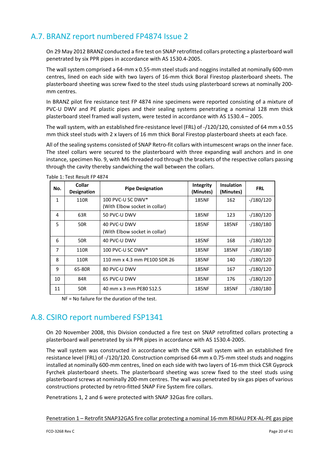## A.7. BRANZ report numbered FP4874 Issue 2

On 29 May 2012 BRANZ conducted a fire test on SNAP retrofitted collars protecting a plasterboard wall penetrated by six PPR pipes in accordance with AS 1530.4‐2005.

The wall system comprised a 64‐mm x 0.55‐mm steel studs and noggins installed at nominally 600‐mm centres, lined on each side with two layers of 16‐mm thick Boral Firestop plasterboard sheets. The plasterboard sheeting was screw fixed to the steel studs using plasterboard screws at nominally 200‐ mm centres.

In BRANZ pilot fire resistance test FP 4874 nine specimens were reported consisting of a mixture of PVC‐U DWV and PE plastic pipes and their sealing systems penetrating a nominal 128 mm thick plasterboard steel framed wall system, were tested in accordance with AS 1530.4 – 2005.

The wall system, with an established fire-resistance level (FRL) of -/120/120, consisted of 64 mm x 0.55 mm thick steel studs with 2 x layers of 16 mm thick Boral Firestop plasterboard sheets at each face.

All of the sealing systems consisted of SNAP Retro-fit collars with intumescent wraps on the inner face. The steel collars were secured to the plasterboard with three expanding wall anchors and in one instance, specimen No. 9, with M6 threaded rod through the brackets of the respective collars passing through the cavity thereby sandwiching the wall between the collars.

| No.            | <b>Collar</b><br><b>Designation</b> | <b>Pipe Designation</b>       | Integrity<br>(Minutes) | <b>Insulation</b><br>(Minutes) | <b>FRL</b> |
|----------------|-------------------------------------|-------------------------------|------------------------|--------------------------------|------------|
| $\mathbf{1}$   | 110R                                | 100 PVC-U SC DWV*             | <b>185NF</b>           | 162                            | $-180/120$ |
|                |                                     | (With Elbow socket in collar) |                        |                                |            |
| 4              | 63R                                 | 50 PVC-U DWV                  | <b>185NF</b>           | 123                            | $-180/120$ |
| 5              | 50R                                 | 40 PVC-U DWV                  | <b>185NF</b>           | <b>185NF</b>                   | $-180/180$ |
|                |                                     | (With Elbow socket in collar) |                        |                                |            |
| 6              | 50R                                 | 40 PVC-U DWV                  | <b>185NF</b>           | 168                            | $-180/120$ |
| $\overline{7}$ | 110R                                | 100 PVC-U SC DWV $*$          | <b>185NF</b>           | <b>185NF</b>                   | $-180/180$ |
| 8              | 110R                                | 110 mm x 4.3 mm PE100 SDR 26  | <b>185NF</b>           | 140                            | $-180/120$ |
| 9              | 65-80R                              | 80 PVC-U DWV                  | <b>185NF</b>           | 167                            | $-180/120$ |
| 10             | 84R                                 | 65 PVC-U DWV                  | <b>185NF</b>           | 176                            | $-180/120$ |
| 11             | 50R                                 | 40 mm x 3 mm PE80 S12.5       | <b>185NF</b>           | <b>185NF</b>                   | $-180/180$ |

Table 1: Test Result FP 4874

NF = No failure for the duration of the test.

### A.8. CSIRO report numbered FSP1341

On 20 November 2008, this Division conducted a fire test on SNAP retrofitted collars protecting a plasterboard wall penetrated by six PPR pipes in accordance with AS 1530.4‐2005.

The wall system was constructed in accordance with the CSR wall system with an established fire resistance level (FRL) of ‐/120/120. Construction comprised 64‐mm x 0.75‐mm steel studs and noggins installed at nominally 600‐mm centres, lined on each side with two layers of 16‐mm thick CSR Gyprock Fyrchek plasterboard sheets. The plasterboard sheeting was screw fixed to the steel studs using plasterboard screws at nominally 200‐mm centres. The wall was penetrated by six gas pipes of various constructions protected by retro-fitted SNAP Fire System fire collars.

Penetrations 1, 2 and 6 were protected with SNAP 32Gas fire collars.

Penetration 1 – Retrofit SNAP32GAS fire collar protecting a nominal 16-mm REHAU PEX-AL-PE gas pipe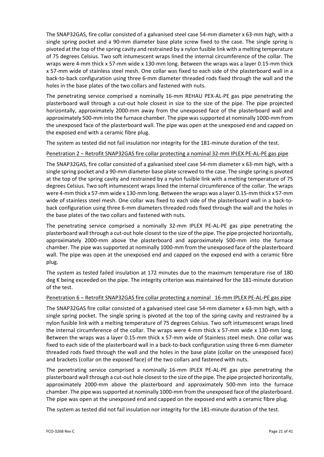The SNAP32GAS, fire collar consisted of a galvanised steel case 54‐mm diameter x 63‐mm high, with a single spring pocket and a 90-mm diameter base plate screw fixed to the case. The single spring is pivoted at the top of the spring cavity and restrained by a nylon fusible link with a melting temperature of 75 degrees Celsius. Two soft intumescent wraps lined the internal circumference of the collar. The wraps were 4‐mm thick x 57‐mm wide x 130‐mm long. Between the wraps was a layer 0.15‐mm thick x 57‐mm wide of stainless steel mesh. One collar was fixed to each side of the plasterboard wall in a back‐to‐back configuration using three 6‐mm diameter threaded rods fixed through the wall and the holes in the base plates of the two collars and fastened with nuts.

The penetrating service comprised a nominally 16‐mm REHAU PEX‐AL‐PE gas pipe penetrating the plasterboard wall through a cut-out hole closest in size to the size of the pipe. The pipe projected horizontally, approximately 2000-mm away from the unexposed face of the plasterboard wall and approximately 500‐mm into the furnace chamber. The pipe wassupported at nominally 1000‐mm from the unexposed face of the plasterboard wall. The pipe was open at the unexposed end and capped on the exposed end with a ceramic fibre plug.

The system as tested did not fail insulation nor integrity for the 181-minute duration of the test.

#### Penetration 2 – Retrofit SNAP32GAS fire collar protecting a nominal 32‐mm IPLEX PE‐AL‐PE gas pipe

The SNAP32GAS, fire collar consisted of a galvanised steel case 54‐mm diameter x 63‐mm high, with a single spring pocket and a 90‐mm diameter base plate screwed to the case. The single spring is pivoted at the top of the spring cavity and restrained by a nylon fusible link with a melting temperature of 75 degrees Celsius. Two soft intumescent wraps lined the internal circumference of the collar. The wraps were 4-mm thick x 57-mm wide x 130-mm long. Between the wraps was a layer 0.15-mm thick x 57-mm wide of stainless steel mesh. One collar was fixed to each side of the plasterboard wall in a back‐to‐ back configuration using three 6‐mm diameters threaded rods fixed through the wall and the holes in the base plates of the two collars and fastened with nuts.

The penetrating service comprised a nominally 32-mm IPLEX PE-AL-PE gas pipe penetrating the plasterboard wall through a cut‐out hole closest to the size of the pipe. The pipe projected horizontally, approximately 2000‐mm above the plasterboard and approximately 500‐mm into the furnace chamber. The pipe wassupported at nominally 1000‐mm from the unexposed face of the plasterboard wall. The pipe was open at the unexposed end and capped on the exposed end with a ceramic fibre plug.

The system as tested failed insulation at 172 minutes due to the maximum temperature rise of 180 deg K being exceeded on the pipe. The integrity criterion was maintained for the 181‐minute duration of the test.

#### Penetration 6 – Retrofit SNAP32GAS fire collar protecting a nominal 16‐mm IPLEX PE‐AL‐PE gas pipe

The SNAP32GAS fire collar consisted of a galvanised steel case 54‐mm diameter x 63‐mm high, with a single spring pocket. The single spring is pivoted at the top of the spring cavity and restrained by a nylon fusible link with a melting temperature of 75 degrees Celsius. Two soft intumescent wraps lined the internal circumference of the collar. The wraps were 4‐mm thick x 57‐mm wide x 130‐mm long. Between the wraps was a layer 0.15‐mm thick x 57‐mm wide of Stainless steel mesh. One collar was fixed to each side of the plasterboard wall in a back-to-back configuration using three 6-mm diameter threaded rods fixed through the wall and the holes in the base plate (collar on the unexposed face) and brackets (collar on the exposed face) of the two collars and fastened with nuts.

The penetrating service comprised a nominally 16‐mm IPLEX PE‐AL‐PE gas pipe penetrating the plasterboard wall through a cut‐out hole closest to the size of the pipe. The pipe projected horizontally, approximately 2000‐mm above the plasterboard and approximately 500‐mm into the furnace chamber. The pipe wassupported at nominally 1000‐mm from the unexposed face of the plasterboard. The pipe was open at the unexposed end and capped on the exposed end with a ceramic fibre plug.

The system as tested did not fail insulation nor integrity for the 181-minute duration of the test.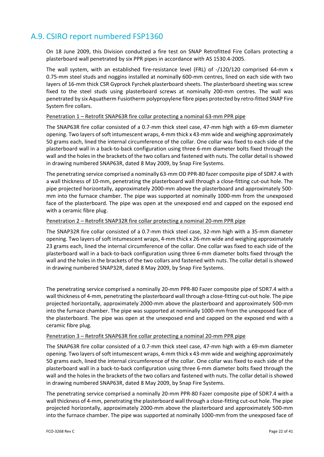## A.9. CSIRO report numbered FSP1360

On 18 June 2009, this Division conducted a fire test on SNAP Retrofitted Fire Collars protecting a plasterboard wall penetrated by six PPR pipes in accordance with AS 1530.4‐2005.

The wall system, with an established fire-resistance level (FRL) of -/120/120 comprised 64-mm x 0.75‐mm steel studs and noggins installed at nominally 600‐mm centres, lined on each side with two layers of 16‐mm thick CSR Gyprock Fyrchek plasterboard sheets. The plasterboard sheeting was screw fixed to the steel studs using plasterboard screws at nominally 200-mm centres. The wall was penetrated by six Aquatherm Fusiotherm polypropylene fibre pipes protected by retro‐fitted SNAP Fire System fire collars.

#### Penetration 1 – Retrofit SNAP63R fire collar protecting a nominal 63‐mm PPR pipe

The SNAP63R fire collar consisted of a 0.7‐mm thick steel case, 47‐mm high with a 69‐mm diameter opening. Two layers of soft intumescent wraps, 4-mm thick x 43-mm wide and weighing approximately 50 grams each, lined the internal circumference of the collar. One collar was fixed to each side of the plasterboard wall in a back‐to‐back configuration using three 6‐mm diameter bolts fixed through the wall and the holes in the brackets of the two collars and fastened with nuts. The collar detail is showed in drawing numbered SNAP63R, dated 8 May 2009, by Snap Fire Systems.

The penetrating service comprised a nominally 63‐mm OD PPR‐80 fazer composite pipe of SDR7.4 with a wall thickness of 10-mm, penetrating the plasterboard wall through a close-fitting cut-out hole. The pipe projected horizontally, approximately 2000‐mm above the plasterboard and approximately 500‐ mm into the furnace chamber. The pipe was supported at nominally 1000-mm from the unexposed face of the plasterboard. The pipe was open at the unexposed end and capped on the exposed end with a ceramic fibre plug.

#### Penetration 2 – Retrofit SNAP32R fire collar protecting a nominal 20‐mm PPR pipe

The SNAP32R fire collar consisted of a 0.7‐mm thick steel case, 32‐mm high with a 35‐mm diameter opening. Two layers ofsoft intumescent wraps, 4‐mm thick x 26‐mm wide and weighing approximately 23 grams each, lined the internal circumference of the collar. One collar was fixed to each side of the plasterboard wall in a back‐to‐back configuration using three 6‐mm diameter bolts fixed through the wall and the holes in the brackets of the two collars and fastened with nuts. The collar detail is showed in drawing numbered SNAP32R, dated 8 May 2009, by Snap Fire Systems.

The penetrating service comprised a nominally 20‐mm PPR‐80 Fazer composite pipe of SDR7.4 with a wall thickness of 4-mm, penetrating the plasterboard wall through a close-fitting cut-out hole. The pipe projected horizontally, approximately 2000‐mm above the plasterboard and approximately 500‐mm into the furnace chamber. The pipe was supported at nominally 1000‐mm from the unexposed face of the plasterboard. The pipe was open at the unexposed end and capped on the exposed end with a ceramic fibre plug.

#### Penetration 3 – Retrofit SNAP63R fire collar protecting a nominal 20‐mm PPR pipe

The SNAP63R fire collar consisted of a 0.7‐mm thick steel case, 47‐mm high with a 69‐mm diameter opening. Two layers of soft intumescent wraps, 4-mm thick x 43-mm wide and weighing approximately 50 grams each, lined the internal circumference of the collar. One collar was fixed to each side of the plasterboard wall in a back‐to‐back configuration using three 6‐mm diameter bolts fixed through the wall and the holes in the brackets of the two collars and fastened with nuts. The collar detail is showed in drawing numbered SNAP63R, dated 8 May 2009, by Snap Fire Systems.

The penetrating service comprised a nominally 20‐mm PPR‐80 Fazer composite pipe of SDR7.4 with a wall thickness of 4-mm, penetrating the plasterboard wall through a close-fitting cut-out hole. The pipe projected horizontally, approximately 2000‐mm above the plasterboard and approximately 500‐mm into the furnace chamber. The pipe was supported at nominally 1000‐mm from the unexposed face of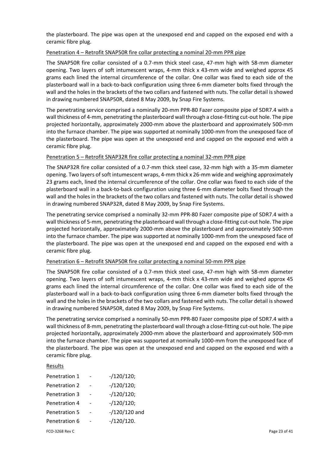the plasterboard. The pipe was open at the unexposed end and capped on the exposed end with a ceramic fibre plug.

#### Penetration 4 – Retrofit SNAP50R fire collar protecting a nominal 20‐mm PPR pipe

The SNAP50R fire collar consisted of a 0.7‐mm thick steel case, 47‐mm high with 58‐mm diameter opening. Two layers of soft intumescent wraps, 4‐mm thick x 43‐mm wide and weighed approx 45 grams each lined the internal circumference of the collar. One collar was fixed to each side of the plasterboard wall in a back‐to‐back configuration using three 6‐mm diameter bolts fixed through the wall and the holes in the brackets of the two collars and fastened with nuts. The collar detail is showed in drawing numbered SNAP50R, dated 8 May 2009, by Snap Fire Systems.

The penetrating service comprised a nominally 20‐mm PPR‐80 Fazer composite pipe of SDR7.4 with a wall thickness of 4-mm, penetrating the plasterboard wall through a close-fitting cut-out hole. The pipe projected horizontally, approximately 2000‐mm above the plasterboard and approximately 500‐mm into the furnace chamber. The pipe was supported at nominally 1000‐mm from the unexposed face of the plasterboard. The pipe was open at the unexposed end and capped on the exposed end with a ceramic fibre plug.

#### Penetration 5 – Retrofit SNAP32R fire collar protecting a nominal 32‐mm PPR pipe

The SNAP32R fire collar consisted of a 0.7‐mm thick steel case, 32‐mm high with a 35‐mm diameter opening. Two layers ofsoft intumescent wraps, 4‐mm thick x 26‐mm wide and weighing approximately 23 grams each, lined the internal circumference of the collar. One collar was fixed to each side of the plasterboard wall in a back‐to‐back configuration using three 6‐mm diameter bolts fixed through the wall and the holes in the brackets of the two collars and fastened with nuts. The collar detail is showed in drawing numbered SNAP32R, dated 8 May 2009, by Snap Fire Systems.

The penetrating service comprised a nominally 32‐mm PPR‐80 Fazer composite pipe of SDR7.4 with a wall thickness of 5-mm, penetrating the plasterboard wall through a close-fitting cut-out hole. The pipe projected horizontally, approximately 2000‐mm above the plasterboard and approximately 500‐mm into the furnace chamber. The pipe was supported at nominally 1000‐mm from the unexposed face of the plasterboard. The pipe was open at the unexposed end and capped on the exposed end with a ceramic fibre plug.

#### Penetration 6 – Retrofit SNAP50R fire collar protecting a nominal 50-mm PPR pipe

The SNAP50R fire collar consisted of a 0.7‐mm thick steel case, 47‐mm high with 58‐mm diameter opening. Two layers of soft intumescent wraps, 4‐mm thick x 43‐mm wide and weighed approx 45 grams each lined the internal circumference of the collar. One collar was fixed to each side of the plasterboard wall in a back‐to‐back configuration using three 6‐mm diameter bolts fixed through the wall and the holes in the brackets of the two collars and fastened with nuts. The collar detail is showed in drawing numbered SNAP50R, dated 8 May 2009, by Snap Fire Systems.

The penetrating service comprised a nominally 50‐mm PPR‐80 Fazer composite pipe of SDR7.4 with a wall thickness of 8-mm, penetrating the plasterboard wall through a close-fitting cut-out hole. The pipe projected horizontally, approximately 2000‐mm above the plasterboard and approximately 500‐mm into the furnace chamber. The pipe was supported at nominally 1000‐mm from the unexposed face of the plasterboard. The pipe was open at the unexposed end and capped on the exposed end with a ceramic fibre plug.

#### Results

| Penetration 1        | $- / 120 / 120$ ; |
|----------------------|-------------------|
| Penetration 2        | $- / 120 / 120$ ; |
| <b>Penetration 3</b> | $- / 120 / 120$ ; |
| Penetration 4        | $- / 120 / 120$ ; |
| <b>Penetration 5</b> | $-$ /120/120 and  |
| Penetration 6        | $-120/120$ .      |
|                      |                   |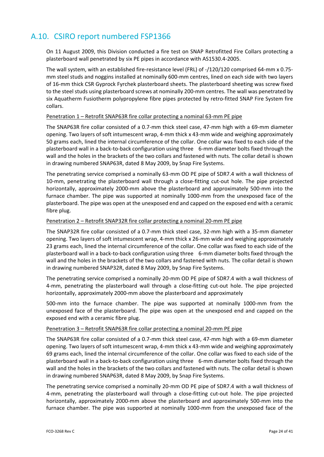## A.10. CSIRO report numbered FSP1366

On 11 August 2009, this Division conducted a fire test on SNAP Retrofitted Fire Collars protecting a plasterboard wall penetrated by six PE pipes in accordance with AS1530.4‐2005.

The wall system, with an established fire‐resistance level (FRL) of ‐/120/120 comprised 64‐mm x 0.75‐ mm steel studs and noggins installed at nominally 600‐mm centres, lined on each side with two layers of 16‐mm thick CSR Gyprock Fyrchek plasterboard sheets. The plasterboard sheeting was screw fixed to the steel studs using plasterboard screws at nominally 200-mm centres. The wall was penetrated by six Aquatherm Fusiotherm polypropylene fibre pipes protected by retro-fitted SNAP Fire System fire collars.

#### Penetration 1 – Retrofit SNAP63R fire collar protecting a nominal 63‐mm PE pipe

The SNAP63R fire collar consisted of a 0.7‐mm thick steel case, 47‐mm high with a 69‐mm diameter opening. Two layers of soft intumescent wrap, 4‐mm thick x 43‐mm wide and weighing approximately 50 grams each, lined the internal circumference of the collar. One collar was fixed to each side of the plasterboard wall in a back‐to‐back configuration using three 6‐mm diameter bolts fixed through the wall and the holes in the brackets of the two collars and fastened with nuts. The collar detail is shown in drawing numbered SNAP63R, dated 8 May 2009, by Snap Fire Systems.

The penetrating service comprised a nominally 63‐mm OD PE pipe of SDR7.4 with a wall thickness of 10-mm, penetrating the plasterboard wall through a close-fitting cut-out hole. The pipe projected horizontally, approximately 2000‐mm above the plasterboard and approximately 500‐mm into the furnace chamber. The pipe was supported at nominally 1000-mm from the unexposed face of the plasterboard. The pipe was open at the unexposed end and capped on the exposed end with a ceramic fibre plug.

#### Penetration 2 – Retrofit SNAP32R fire collar protecting a nominal 20‐mm PE pipe

The SNAP32R fire collar consisted of a 0.7‐mm thick steel case, 32‐mm high with a 35‐mm diameter opening. Two layers of soft intumescent wrap, 4‐mm thick x 26‐mm wide and weighing approximately 23 grams each, lined the internal circumference of the collar. One collar was fixed to each side of the plasterboard wall in a back‐to‐back configuration using three 6‐mm diameter bolts fixed through the wall and the holes in the brackets of the two collars and fastened with nuts. The collar detail is shown in drawing numbered SNAP32R, dated 8 May 2009, by Snap Fire Systems.

The penetrating service comprised a nominally 20-mm OD PE pipe of SDR7.4 with a wall thickness of 4-mm, penetrating the plasterboard wall through a close-fitting cut-out hole. The pipe projected horizontally, approximately 2000‐mm above the plasterboard and approximately

500-mm into the furnace chamber. The pipe was supported at nominally 1000-mm from the unexposed face of the plasterboard. The pipe was open at the unexposed end and capped on the exposed end with a ceramic fibre plug.

#### Penetration 3 – Retrofit SNAP63R fire collar protecting a nominal 20‐mm PE pipe

The SNAP63R fire collar consisted of a 0.7‐mm thick steel case, 47‐mm high with a 69‐mm diameter opening. Two layers of soft intumescent wrap, 4‐mm thick x 43‐mm wide and weighing approximately 69 grams each, lined the internal circumference of the collar. One collar was fixed to each side of the plasterboard wall in a back‐to‐back configuration using three 6‐mm diameter bolts fixed through the wall and the holes in the brackets of the two collars and fastened with nuts. The collar detail is shown in drawing numbered SNAP63R, dated 8 May 2009, by Snap Fire Systems.

The penetrating service comprised a nominally 20-mm OD PE pipe of SDR7.4 with a wall thickness of 4-mm, penetrating the plasterboard wall through a close-fitting cut-out hole. The pipe projected horizontally, approximately 2000-mm above the plasterboard and approximately 500-mm into the furnace chamber. The pipe was supported at nominally 1000‐mm from the unexposed face of the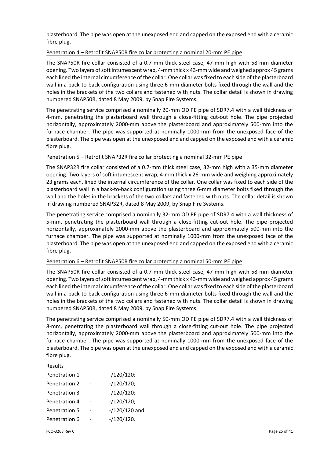plasterboard. The pipe was open at the unexposed end and capped on the exposed end with a ceramic fibre plug.

#### Penetration 4 – Retrofit SNAP50R fire collar protecting a nominal 20‐mm PE pipe

The SNAP50R fire collar consisted of a 0.7‐mm thick steel case, 47‐mm high with 58‐mm diameter opening. Two layers ofsoft intumescent wrap, 4‐mm thick x 43‐mm wide and weighed approx 45 grams each lined the internal circumference of the collar. One collar wasfixed to each side of the plasterboard wall in a back-to-back configuration using three 6-mm diameter bolts fixed through the wall and the holes in the brackets of the two collars and fastened with nuts. The collar detail is shown in drawing numbered SNAP50R, dated 8 May 2009, by Snap Fire Systems.

The penetrating service comprised a nominally 20-mm OD PE pipe of SDR7.4 with a wall thickness of 4-mm, penetrating the plasterboard wall through a close-fitting cut-out hole. The pipe projected horizontally, approximately 2000-mm above the plasterboard and approximately 500-mm into the furnace chamber. The pipe was supported at nominally 1000-mm from the unexposed face of the plasterboard. The pipe was open at the unexposed end and capped on the exposed end with a ceramic fibre plug.

#### Penetration 5 – Retrofit SNAP32R fire collar protecting a nominal 32‐mm PE pipe

The SNAP32R fire collar consisted of a 0.7‐mm thick steel case, 32‐mm high with a 35‐mm diameter opening. Two layers of soft intumescent wrap, 4‐mm thick x 26‐mm wide and weighing approximately 23 grams each, lined the internal circumference of the collar. One collar was fixed to each side of the plasterboard wall in a back‐to‐back configuration using three 6‐mm diameter bolts fixed through the wall and the holes in the brackets of the two collars and fastened with nuts. The collar detail is shown in drawing numbered SNAP32R, dated 8 May 2009, by Snap Fire Systems.

The penetrating service comprised a nominally 32‐mm OD PE pipe of SDR7.4 with a wall thickness of 5-mm, penetrating the plasterboard wall through a close-fitting cut-out hole. The pipe projected horizontally, approximately 2000-mm above the plasterboard and approximately 500-mm into the furnace chamber. The pipe was supported at nominally 1000-mm from the unexposed face of the plasterboard. The pipe was open at the unexposed end and capped on the exposed end with a ceramic fibre plug.

#### Penetration 6 – Retrofit SNAP50R fire collar protecting a nominal 50-mm PE pipe

The SNAP50R fire collar consisted of a 0.7‐mm thick steel case, 47‐mm high with 58‐mm diameter opening. Two layers ofsoft intumescent wrap, 4‐mm thick x 43‐mm wide and weighed approx 45 grams each lined the internal circumference of the collar. One collar wasfixed to each side of the plasterboard wall in a back-to-back configuration using three 6-mm diameter bolts fixed through the wall and the holes in the brackets of the two collars and fastened with nuts. The collar detail is shown in drawing numbered SNAP50R, dated 8 May 2009, by Snap Fire Systems.

The penetrating service comprised a nominally 50‐mm OD PE pipe of SDR7.4 with a wall thickness of 8-mm, penetrating the plasterboard wall through a close-fitting cut-out hole. The pipe projected horizontally, approximately 2000‐mm above the plasterboard and approximately 500‐mm into the furnace chamber. The pipe was supported at nominally 1000-mm from the unexposed face of the plasterboard. The pipe was open at the unexposed end and capped on the exposed end with a ceramic fibre plug.

#### Results

| Penetration 1 | $- / 120 / 120$ ; |
|---------------|-------------------|
| Penetration 2 | $- / 120 / 120$ ; |
| Penetration 3 | $- / 120 / 120$ ; |
| Penetration 4 | $- / 120 / 120$ ; |
| Penetration 5 | $-$ /120/120 and  |
| Penetration 6 | $-/120/120.$      |
|               |                   |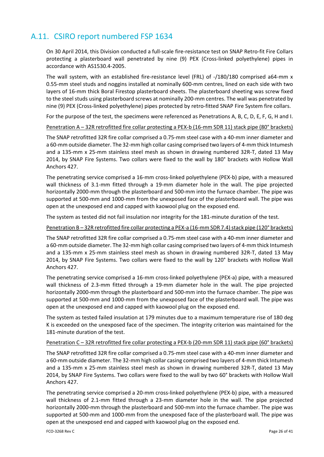## A.11. CSIRO report numbered FSP 1634

On 30 April 2014, this Division conducted a full‐scale fire‐resistance test on SNAP Retro‐fit Fire Collars protecting a plasterboard wall penetrated by nine (9) PEX (Cross-linked polyethylene) pipes in accordance with AS1530.4‐2005.

The wall system, with an established fire-resistance level (FRL) of -/180/180 comprised a64-mm x 0.55-mm steel studs and noggins installed at nominally 600-mm centres, lined on each side with two layers of 16‐mm thick Boral Firestop plasterboard sheets. The plasterboard sheeting was screw fixed to the steel studs using plasterboard screws at nominally 200‐mm centres. The wall was penetrated by nine (9) PEX (Cross-linked polyethylene) pipes protected by retro-fitted SNAP Fire System fire collars.

For the purpose of the test, the specimens were referenced as Penetrations A, B, C, D, E, F, G, H and I.

Penetration A – 32R retrofitted fire collar protecting a PEX-b (16-mm SDR 11) stack pipe (80° brackets)

The SNAP retrofitted 32R fire collar comprised a 0.75‐mm steel case with a 40‐mm inner diameter and a 60-mm outside diameter. The 32-mm high collar casing comprised two layers of 4-mm thick Intumesh and a 135‐mm x 25‐mm stainless steel mesh as shown in drawing numbered 32R‐T, dated 13 May 2014, by SNAP Fire Systems. Two collars were fixed to the wall by 180° brackets with Hollow Wall Anchors 427.

The penetrating service comprised a 16‐mm cross‐linked polyethylene (PEX‐b) pipe, with a measured wall thickness of 3.1-mm fitted through a 19-mm diameter hole in the wall. The pipe projected horizontally 2000-mm through the plasterboard and 500-mm into the furnace chamber. The pipe was supported at 500‐mm and 1000‐mm from the unexposed face of the plasterboard wall. The pipe was open at the unexposed end and capped with kaowool plug on the exposed end.

The system as tested did not fail insulation nor integrity for the 181-minute duration of the test.

#### Penetration B-32R retrofitted fire collar protecting a PEX-a (16-mm SDR 7.4) stack pipe (120° brackets)

The SNAP retrofitted 32R fire collar comprised a 0.75‐mm steel case with a 40‐mm inner diameter and a 60-mm outside diameter. The 32-mm high collar casing comprised two layers of 4-mm thick Intumesh and a 135‐mm x 25‐mm stainless steel mesh as shown in drawing numbered 32R‐T, dated 13 May 2014, by SNAP Fire Systems. Two collars were fixed to the wall by 120° brackets with Hollow Wall Anchors 427.

The penetrating service comprised a 16‐mm cross‐linked polyethylene (PEX‐a) pipe, with a measured wall thickness of 2.3-mm fitted through a 19-mm diameter hole in the wall. The pipe projected horizontally 2000‐mm through the plasterboard and 500‐mm into the furnace chamber. The pipe was supported at 500-mm and 1000-mm from the unexposed face of the plasterboard wall. The pipe was open at the unexposed end and capped with kaowool plug on the exposed end.

The system as tested failed insulation at 179 minutes due to a maximum temperature rise of 180 deg K is exceeded on the unexposed face of the specimen. The integrity criterion was maintained for the 181-minute duration of the test.

#### Penetration C – 32R retrofitted fire collar protecting a PEX‐b (20‐mm SDR 11) stack pipe (60° brackets)

The SNAP retrofitted 32R fire collar comprised a 0.75‐mm steel case with a 40‐mm inner diameter and a 60-mm outside diameter. The 32-mm high collar casing comprised two layers of 4-mm thick Intumesh and a 135‐mm x 25‐mm stainless steel mesh as shown in drawing numbered 32R‐T, dated 13 May 2014, by SNAP Fire Systems. Two collars were fixed to the wall by two 60° brackets with Hollow Wall Anchors 427.

The penetrating service comprised a 20‐mm cross‐linked polyethylene (PEX‐b) pipe, with a measured wall thickness of 2.1-mm fitted through a 23-mm diameter hole in the wall. The pipe projected horizontally 2000‐mm through the plasterboard and 500‐mm into the furnace chamber. The pipe was supported at 500-mm and 1000-mm from the unexposed face of the plasterboard wall. The pipe was open at the unexposed end and capped with kaowool plug on the exposed end.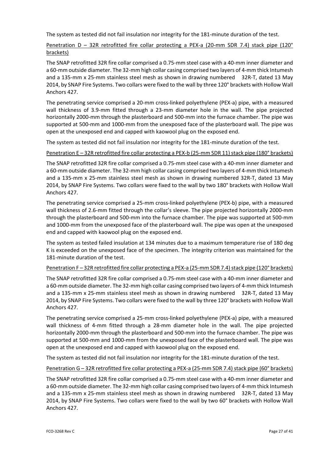The system as tested did not fail insulation nor integrity for the 181‐minute duration of the test.

#### Penetration D – 32R retrofitted fire collar protecting a PEX-a (20-mm SDR 7.4) stack pipe (120° brackets)

The SNAP retrofitted 32R fire collar comprised a 0.75‐mm steel case with a 40‐mm inner diameter and a 60-mm outside diameter. The 32-mm high collar casing comprised two layers of 4-mm thick Intumesh and a 135-mm x 25-mm stainless steel mesh as shown in drawing numbered 32R-T, dated 13 May 2014, by SNAP Fire Systems. Two collars were fixed to the wall by three 120° brackets with Hollow Wall Anchors 427.

The penetrating service comprised a 20‐mm cross‐linked polyethylene (PEX‐a) pipe, with a measured wall thickness of 3.9-mm fitted through a 23-mm diameter hole in the wall. The pipe projected horizontally 2000-mm through the plasterboard and 500-mm into the furnace chamber. The pipe was supported at 500‐mm and 1000‐mm from the unexposed face of the plasterboard wall. The pipe was open at the unexposed end and capped with kaowool plug on the exposed end.

The system as tested did not fail insulation nor integrity for the 181-minute duration of the test.

#### Penetration E-32R retrofitted fire collar protecting a PEX-b (25-mm SDR 11) stack pipe (180° brackets)

The SNAP retrofitted 32R fire collar comprised a 0.75‐mm steel case with a 40‐mm inner diameter and a 60-mm outside diameter. The 32-mm high collar casing comprised two layers of 4-mm thick Intumesh and a 135‐mm x 25‐mm stainless steel mesh as shown in drawing numbered 32R‐T, dated 13 May 2014, by SNAP Fire Systems. Two collars were fixed to the wall by two 180° brackets with Hollow Wall Anchors 427.

The penetrating service comprised a 25‐mm cross‐linked polyethylene (PEX‐b) pipe, with a measured wall thickness of 2.6‐mm fitted through the collar's sleeve. The pipe projected horizontally 2000‐mm through the plasterboard and 500‐mm into the furnace chamber. The pipe was supported at 500‐mm and 1000‐mm from the unexposed face of the plasterboard wall. The pipe was open at the unexposed end and capped with kaowool plug on the exposed end.

The system as tested failed insulation at 134 minutes due to a maximum temperature rise of 180 deg K is exceeded on the unexposed face of the specimen. The integrity criterion was maintained for the 181-minute duration of the test.

#### Penetration F-32R retrofitted fire collar protecting a PEX-a (25-mm SDR 7.4) stack pipe (120° brackets)

The SNAP retrofitted 32R fire collar comprised a 0.75‐mm steel case with a 40‐mm inner diameter and a 60-mm outside diameter. The 32-mm high collar casing comprised two layers of 4-mm thick Intumesh and a 135-mm x 25-mm stainless steel mesh as shown in drawing numbered 32R-T, dated 13 May 2014, by SNAP Fire Systems. Two collars were fixed to the wall by three 120° brackets with Hollow Wall Anchors 427.

The penetrating service comprised a 25‐mm cross‐linked polyethylene (PEX‐a) pipe, with a measured wall thickness of 4-mm fitted through a 28-mm diameter hole in the wall. The pipe projected horizontally 2000‐mm through the plasterboard and 500‐mm into the furnace chamber. The pipe was supported at 500-mm and 1000-mm from the unexposed face of the plasterboard wall. The pipe was open at the unexposed end and capped with kaowool plug on the exposed end.

The system as tested did not fail insulation nor integrity for the 181-minute duration of the test.

#### Penetration G – 32R retrofitted fire collar protecting a PEX‐a (25‐mm SDR 7.4) stack pipe (60° brackets)

The SNAP retrofitted 32R fire collar comprised a 0.75‐mm steel case with a 40‐mm inner diameter and a 60-mm outside diameter. The 32-mm high collar casing comprised two layers of 4-mm thick Intumesh and a 135-mm x 25-mm stainless steel mesh as shown in drawing numbered 32R-T, dated 13 May 2014, by SNAP Fire Systems. Two collars were fixed to the wall by two 60° brackets with Hollow Wall Anchors 427.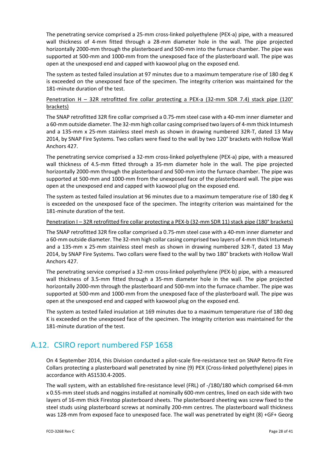The penetrating service comprised a 25‐mm cross‐linked polyethylene (PEX‐a) pipe, with a measured wall thickness of 4-mm fitted through a 28-mm diameter hole in the wall. The pipe projected horizontally 2000‐mm through the plasterboard and 500‐mm into the furnace chamber. The pipe was supported at 500-mm and 1000-mm from the unexposed face of the plasterboard wall. The pipe was open at the unexposed end and capped with kaowool plug on the exposed end.

The system as tested failed insulation at 97 minutes due to a maximum temperature rise of 180 deg K is exceeded on the unexposed face of the specimen. The integrity criterion was maintained for the 181-minute duration of the test.

#### Penetration H – 32R retrofitted fire collar protecting a PEX-a (32-mm SDR 7.4) stack pipe (120° brackets)

The SNAP retrofitted 32R fire collar comprised a 0.75‐mm steel case with a 40‐mm inner diameter and a 60-mm outside diameter. The 32-mm high collar casing comprised two layers of 4-mm thick Intumesh and a 135‐mm x 25‐mm stainless steel mesh as shown in drawing numbered 32R‐T, dated 13 May 2014, by SNAP Fire Systems. Two collars were fixed to the wall by two 120° brackets with Hollow Wall Anchors 427.

The penetrating service comprised a 32‐mm cross‐linked polyethylene (PEX‐a) pipe, with a measured wall thickness of 4.5‐mm fitted through a 35‐mm diameter hole in the wall. The pipe projected horizontally 2000‐mm through the plasterboard and 500‐mm into the furnace chamber. The pipe was supported at 500-mm and 1000-mm from the unexposed face of the plasterboard wall. The pipe was open at the unexposed end and capped with kaowool plug on the exposed end.

The system as tested failed insulation at 96 minutes due to a maximum temperature rise of 180 deg K is exceeded on the unexposed face of the specimen. The integrity criterion was maintained for the 181-minute duration of the test.

#### Penetration I-32R retrofitted fire collar protecting a PEX-b (32-mm SDR 11) stack pipe (180° brackets)

The SNAP retrofitted 32R fire collar comprised a 0.75‐mm steel case with a 40‐mm inner diameter and a 60-mm outside diameter. The 32-mm high collar casing comprised two layers of 4-mm thick Intumesh and a 135‐mm x 25‐mm stainless steel mesh as shown in drawing numbered 32R‐T, dated 13 May 2014, by SNAP Fire Systems. Two collars were fixed to the wall by two 180° brackets with Hollow Wall Anchors 427.

The penetrating service comprised a 32‐mm cross‐linked polyethylene (PEX‐b) pipe, with a measured wall thickness of 3.5-mm fitted through a 35-mm diameter hole in the wall. The pipe projected horizontally 2000‐mm through the plasterboard and 500‐mm into the furnace chamber. The pipe was supported at 500-mm and 1000-mm from the unexposed face of the plasterboard wall. The pipe was open at the unexposed end and capped with kaowool plug on the exposed end.

The system as tested failed insulation at 169 minutes due to a maximum temperature rise of 180 deg K is exceeded on the unexposed face of the specimen. The integrity criterion was maintained for the 181-minute duration of the test.

## A.12. CSIRO report numbered FSP 1658

On 4 September 2014, this Division conducted a pilot‐scale fire‐resistance test on SNAP Retro‐fit Fire Collars protecting a plasterboard wall penetrated by nine (9) PEX (Cross‐linked polyethylene) pipes in accordance with AS1530.4‐2005.

The wall system, with an established fire‐resistance level (FRL) of ‐/180/180 which comprised 64‐mm x 0.55‐mm steel studs and noggins installed at nominally 600‐mm centres, lined on each side with two layers of 16‐mm thick Firestop plasterboard sheets. The plasterboard sheeting was screw fixed to the steel studs using plasterboard screws at nominally 200‐mm centres. The plasterboard wall thickness was 128-mm from exposed face to unexposed face. The wall was penetrated by eight (8) +GF+ Georg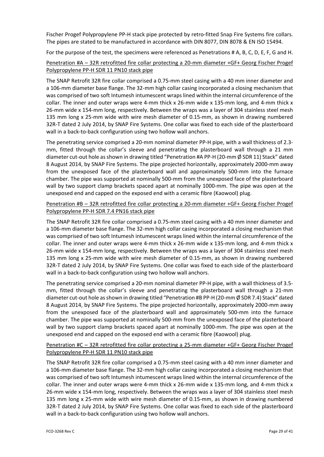Fischer Progef Polypropylene PP-H stack pipe protected by retro-fitted Snap Fire Systems fire collars. The pipes are stated to be manufactured in accordance with DIN 8077, DIN 8078 & EN ISO 15494.

For the purpose of the test, the specimens were referenced as Penetrations # A, B, C, D, E, F, G and H.

### Penetration #A – 32R retrofitted fire collar protecting a 20‐mm diameter +GF+ Georg Fischer Progef Polypropylene PP‐H SDR 11 PN10 stack pipe

The SNAP Retrofit 32R fire collar comprised a 0.75‐mm steel casing with a 40 mm inner diameter and a 106‐mm diameter base flange. The 32‐mm high collar casing incorporated a closing mechanism that was comprised of two soft Intumesh intumescent wraps lined within the internal circumference of the collar. The inner and outer wraps were 4‐mm thick x 26‐mm wide x 135‐mm long, and 4‐mm thick x 26‐mm wide x 154‐mm long, respectively. Between the wraps was a layer of 304 stainless steel mesh 135 mm long x 25-mm wide with wire mesh diameter of 0.15-mm, as shown in drawing numbered 32R‐T dated 2 July 2014, by SNAP Fire Systems. One collar was fixed to each side of the plasterboard wall in a back-to-back configuration using two hollow wall anchors.

The penetrating service comprised a 20-mm nominal diameter PP-H pipe, with a wall thickness of 2.3mm, fitted through the collar's sleeve and penetrating the plasterboard wall through a 21 mm diameter cut-out hole as shown in drawing titled "Penetration #A PP-H (20-mm Ø SDR 11) Stack" dated 8 August 2014, by SNAP Fire Systems. The pipe projected horizontally, approximately 2000‐mm away from the unexposed face of the plasterboard wall and approximately 500-mm into the furnace chamber. The pipe was supported at nominally 500‐mm from the unexposed face of the plasterboard wall by two support clamp brackets spaced apart at nominally 1000‐mm. The pipe was open at the unexposed end and capped on the exposed end with a ceramic fibre (Kaowool) plug.

#### Penetration #B – 32R retrofitted fire collar protecting a 20‐mm diameter +GF+ Georg Fischer Progef Polypropylene PP‐H SDR 7.4 PN16 stack pipe

The SNAP Retrofit 32R fire collar comprised a 0.75‐mm steel casing with a 40 mm inner diameter and a 106‐mm diameter base flange. The 32‐mm high collar casing incorporated a closing mechanism that was comprised of two soft Intumesh intumescent wraps lined within the internal circumference of the collar. The inner and outer wraps were 4‐mm thick x 26‐mm wide x 135‐mm long, and 4‐mm thick x 26‐mm wide x 154‐mm long, respectively. Between the wraps was a layer of 304 stainless steel mesh 135 mm long x 25-mm wide with wire mesh diameter of 0.15-mm, as shown in drawing numbered 32R-T dated 2 July 2014, by SNAP Fire Systems. One collar was fixed to each side of the plasterboard wall in a back-to-back configuration using two hollow wall anchors.

The penetrating service comprised a 20-mm nominal diameter PP-H pipe, with a wall thickness of 3.5– mm, fitted through the collar's sleeve and penetrating the plasterboard wall through a 21‐mm diameter cut-out hole as shown in drawing titled "Penetration #B PP-H (20-mm Ø SDR 7.4) Stack" dated 8 August 2014, by SNAP Fire Systems. The pipe projected horizontally, approximately 2000‐mm away from the unexposed face of the plasterboard wall and approximately 500-mm into the furnace chamber. The pipe was supported at nominally 500‐mm from the unexposed face of the plasterboard wall by two support clamp brackets spaced apart at nominally 1000‐mm. The pipe was open at the unexposed end and capped on the exposed end with a ceramic fibre (Kaowool) plug.

### Penetration #C – 32R retrofitted fire collar protecting a 25‐mm diameter +GF+ Georg Fischer Progef Polypropylene PP‐H SDR 11 PN10 stack pipe

The SNAP Retrofit 32R fire collar comprised a 0.75‐mm steel casing with a 40 mm inner diameter and a 106‐mm diameter base flange. The 32‐mm high collar casing incorporated a closing mechanism that was comprised of two soft Intumesh intumescent wraps lined within the internal circumference of the collar. The inner and outer wraps were 4‐mm thick x 26‐mm wide x 135‐mm long, and 4‐mm thick x 26-mm wide x 154-mm long, respectively. Between the wraps was a layer of 304 stainless steel mesh 135 mm long x 25-mm wide with wire mesh diameter of 0.15-mm, as shown in drawing numbered 32R‐T dated 2 July 2014, by SNAP Fire Systems. One collar was fixed to each side of the plasterboard wall in a back-to-back configuration using two hollow wall anchors.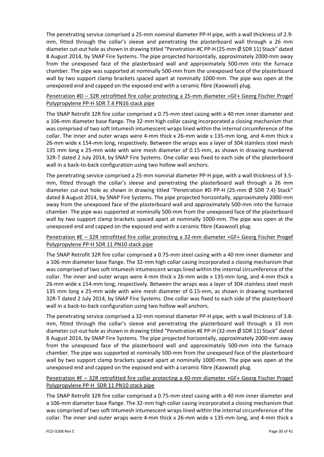The penetrating service comprised a 25‐mm nominal diameter PP‐H pipe, with a wall thickness of 2.9‐ mm, fitted through the collar's sleeve and penetrating the plasterboard wall through a 26 mm diameter cut‐out hole asshown in drawing titled "Penetration #C PP‐H (25‐mm Ø SDR 11) Stack" dated 8 August 2014, by SNAP Fire Systems. The pipe projected horizontally, approximately 2000‐mm away from the unexposed face of the plasterboard wall and approximately 500‐mm into the furnace chamber. The pipe was supported at nominally 500‐mm from the unexposed face of the plasterboard wall by two support clamp brackets spaced apart at nominally 1000-mm. The pipe was open at the unexposed end and capped on the exposed end with a ceramic fibre (Kaowool) plug.

#### Penetration #D - 32R retrofitted fire collar protecting a 25-mm diameter +GF+ Georg Fischer Progef Polypropylene PP‐H SDR 7.4 PN16 stack pipe

The SNAP Retrofit 32R fire collar comprised a 0.75‐mm steel casing with a 40 mm inner diameter and a 106‐mm diameter base flange. The 32‐mm high collar casing incorporated a closing mechanism that was comprised of two soft Intumesh intumescent wraps lined within the internal circumference of the collar. The inner and outer wraps were 4‐mm thick x 26‐mm wide x 135‐mm long, and 4‐mm thick x 26‐mm wide x 154‐mm long, respectively. Between the wraps was a layer of 304 stainless steel mesh 135 mm long x 25-mm wide with wire mesh diameter of 0.15-mm, as shown in drawing numbered 32R-T dated 2 July 2014, by SNAP Fire Systems. One collar was fixed to each side of the plasterboard wall in a back-to-back configuration using two hollow wall anchors.

The penetrating service comprised a 25-mm nominal diameter PP-H pipe, with a wall thickness of 3.5mm, fitted through the collar's sleeve and penetrating the plasterboard wall through a 26 mm diameter cut‐out hole as shown in drawing titled "Penetration #D PP‐H (25‐mm Ø SDR 7.4) Stack" dated 8 August 2014, by SNAP Fire Systems. The pipe projected horizontally, approximately 2000‐mm away from the unexposed face of the plasterboard wall and approximately 500‐mm into the furnace chamber. The pipe was supported at nominally 500‐mm from the unexposed face of the plasterboard wall by two support clamp brackets spaced apart at nominally 1000‐mm. The pipe was open at the unexposed end and capped on the exposed end with a ceramic fibre (Kaowool) plug.

### Penetration #E – 32R retrofitted fire collar protecting a 32‐mm diameter +GF+ Georg Fischer Progef Polypropylene PP‐H SDR 11 PN10 stack pipe

The SNAP Retrofit 32R fire collar comprised a 0.75‐mm steel casing with a 40 mm inner diameter and a 106‐mm diameter base flange. The 32‐mm high collar casing incorporated a closing mechanism that was comprised of two soft Intumesh intumescent wraps lined within the internal circumference of the collar. The inner and outer wraps were 4‐mm thick x 26‐mm wide x 135‐mm long, and 4‐mm thick x 26‐mm wide x 154‐mm long, respectively. Between the wraps was a layer of 304 stainless steel mesh 135 mm long x 25-mm wide with wire mesh diameter of 0.15-mm, as shown in drawing numbered 32R‐T dated 2 July 2014, by SNAP Fire Systems. One collar was fixed to each side of the plasterboard wall in a back-to-back configuration using two hollow wall anchors.

The penetrating service comprised a 32-mm nominal diameter PP-H pipe, with a wall thickness of 3.8mm, fitted through the collar's sleeve and penetrating the plasterboard wall through a 33 mm diameter cut-out hole as shown in drawing titled "Penetration #E PP-H (32-mm Ø SDR 11) Stack" dated 8 August 2014, by SNAP Fire Systems. The pipe projected horizontally, approximately 2000‐mm away from the unexposed face of the plasterboard wall and approximately 500‐mm into the furnace chamber. The pipe was supported at nominally 500‐mm from the unexposed face of the plasterboard wall by two support clamp brackets spaced apart at nominally 1000‐mm. The pipe was open at the unexposed end and capped on the exposed end with a ceramic fibre (Kaowool) plug.

#### Penetration #F – 32R retrofitted fire collar protecting a 40‐mm diameter +GF+ Georg Fischer Progef Polypropylene PP‐H SDR 11 PN10 stack pipe

The SNAP Retrofit 32R fire collar comprised a 0.75‐mm steel casing with a 40 mm inner diameter and a 106‐mm diameter base flange. The 32‐mm high collar casing incorporated a closing mechanism that was comprised of two soft Intumesh intumescent wraps lined within the internal circumference of the collar. The inner and outer wraps were 4‐mm thick x 26‐mm wide x 135‐mm long, and 4‐mm thick x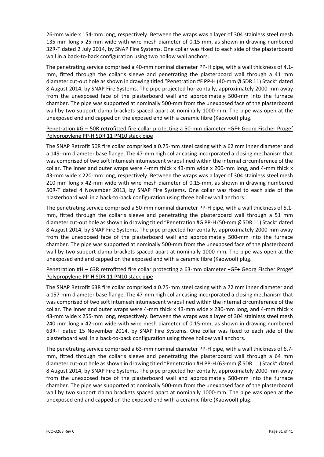26‐mm wide x 154‐mm long, respectively. Between the wraps was a layer of 304 stainless steel mesh 135 mm long x 25-mm wide with wire mesh diameter of 0.15-mm, as shown in drawing numbered 32R‐T dated 2 July 2014, by SNAP Fire Systems. One collar was fixed to each side of the plasterboard wall in a back-to-back configuration using two hollow wall anchors.

The penetrating service comprised a 40-mm nominal diameter PP-H pipe, with a wall thickness of 4.1mm, fitted through the collar's sleeve and penetrating the plasterboard wall through a 41 mm diameter cut-out hole as shown in drawing titled "Penetration #F PP-H (40-mm Ø SDR 11) Stack" dated 8 August 2014, by SNAP Fire Systems. The pipe projected horizontally, approximately 2000‐mm away from the unexposed face of the plasterboard wall and approximately 500-mm into the furnace chamber. The pipe was supported at nominally 500‐mm from the unexposed face of the plasterboard wall by two support clamp brackets spaced apart at nominally 1000‐mm. The pipe was open at the unexposed end and capped on the exposed end with a ceramic fibre (Kaowool) plug.

#### Penetration #G – 50R retrofitted fire collar protecting a 50‐mm diameter +GF+ Georg Fischer Progef Polypropylene PP‐H SDR 11 PN10 stack pipe

The SNAP Retrofit 50R fire collar comprised a 0.75‐mm steel casing with a 62 mm inner diameter and a 149‐mm diameter base flange. The 47‐mm high collar casing incorporated a closing mechanism that was comprised of two soft Intumesh intumescent wraps lined within the internal circumference of the collar. The inner and outer wraps were 4‐mm thick x 43‐mm wide x 200‐mm long, and 4‐mm thick x 43-mm wide x 220-mm long, respectively. Between the wraps was a layer of 304 stainless steel mesh 210 mm long x 42-mm wide with wire mesh diameter of 0.15-mm, as shown in drawing numbered 50R‐T dated 4 November 2013, by SNAP Fire Systems. One collar was fixed to each side of the plasterboard wall in a back‐to‐back configuration using three hollow wall anchors.

The penetrating service comprised a 50-mm nominal diameter PP-H pipe, with a wall thickness of 5.1mm, fitted through the collar's sleeve and penetrating the plasterboard wall through a 51 mm diameter cut-out hole as shown in drawing titled "Penetration #G PP-H (50-mm Ø SDR 11) Stack" dated 8 August 2014, by SNAP Fire Systems. The pipe projected horizontally, approximately 2000‐mm away from the unexposed face of the plasterboard wall and approximately 500‐mm into the furnace chamber. The pipe was supported at nominally 500‐mm from the unexposed face of the plasterboard wall by two support clamp brackets spaced apart at nominally 1000-mm. The pipe was open at the unexposed end and capped on the exposed end with a ceramic fibre (Kaowool) plug.

### Penetration #H – 63R retrofitted fire collar protecting a 63‐mm diameter +GF+ Georg Fischer Progef Polypropylene PP‐H SDR 11 PN10 stack pipe

The SNAP Retrofit 63R fire collar comprised a 0.75‐mm steel casing with a 72 mm inner diameter and a 157‐mm diameter base flange. The 47‐mm high collar casing incorporated a closing mechanism that was comprised of two soft Intumesh intumescent wraps lined within the internal circumference of the collar. The inner and outer wraps were 4‐mm thick x 43‐mm wide x 230‐mm long, and 4‐mm thick x 43-mm wide x 255-mm long, respectively. Between the wraps was a layer of 304 stainless steel mesh 240 mm long x 42-mm wide with wire mesh diameter of 0.15-mm, as shown in drawing numbered 63R‐T dated 15 November 2014, by SNAP Fire Systems. One collar was fixed to each side of the plasterboard wall in a back‐to‐back configuration using three hollow wall anchors.

The penetrating service comprised a 63‐mm nominal diameter PP‐H pipe, with a wall thickness of 6.7‐ mm, fitted through the collar's sleeve and penetrating the plasterboard wall through a 64 mm diameter cut‐out hole asshown in drawing titled "Penetration #H PP‐H (63‐mm Ø SDR 11) Stack" dated 8 August 2014, by SNAP Fire Systems. The pipe projected horizontally, approximately 2000‐mm away from the unexposed face of the plasterboard wall and approximately 500-mm into the furnace chamber. The pipe was supported at nominally 500‐mm from the unexposed face of the plasterboard wall by two support clamp brackets spaced apart at nominally 1000-mm. The pipe was open at the unexposed end and capped on the exposed end with a ceramic fibre (Kaowool) plug.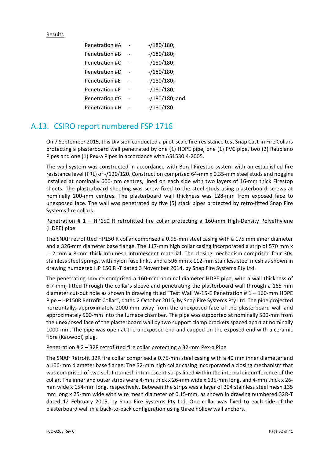#### Results

| Penetration #A | $- / 180 / 180$ ; |
|----------------|-------------------|
| Penetration #B | $- / 180 / 180$ ; |
| Penetration #C | $- / 180 / 180$ ; |
| Penetration #D | $- / 180 / 180$ ; |
| Penetration #E | $- / 180 / 180$ ; |
| Penetration #F | $- / 180 / 180$ ; |
| Penetration #G | $-$ /180/180; and |
| Penetration #H | $- / 180 / 180.$  |

## A.13. CSIRO report numbered FSP 1716

On 7 September 2015, this Division conducted a pilot‐scale fire‐resistance test Snap Cast‐in Fire Collars protecting a plasterboard wall penetrated by one (1) HDPE pipe, one (1) PVC pipe, two (2) Raupiano Pipes and one (1) Pex‐a Pipes in accordance with AS1530.4‐2005.

The wall system was constructed in accordance with Boral Firestop system with an established fire resistance level (FRL) of ‐/120/120. Construction comprised 64‐mm x 0.35‐mm steel studs and noggins installed at nominally 600‐mm centres, lined on each side with two layers of 16‐mm thick Firestop sheets. The plasterboard sheeting was screw fixed to the steel studs using plasterboard screws at nominally 200‐mm centres. The plasterboard wall thickness was 128‐mm from exposed face to unexposed face. The wall was penetrated by five (5) stack pipes protected by retro‐fitted Snap Fire Systems fire collars.

#### Penetration # 1 – HP150 R retrofitted fire collar protecting a 160-mm High-Density Polyethylene (HDPE) pipe

The SNAP retrofitted HP150 R collar comprised a 0.95‐mm steel casing with a 175 mm inner diameter and a 326-mm diameter base flange. The 117-mm high collar casing incorporated a strip of 570 mm x 112 mm x 8‐mm thick Intumesh intumescent material. The closing mechanism comprised four 304 stainless steel springs, with nylon fuse links, and a 596 mm x 112‐mm stainless steel mesh as shown in drawing numbered HP 150 R ‐T dated 3 November 2014, by Snap Fire Systems Pty Ltd.

The penetrating service comprised a 160-mm nominal diameter HDPE pipe, with a wall thickness of 6.7‐mm, fitted through the collar's sleeve and penetrating the plasterboard wall through a 165 mm diameter cut-out hole as shown in drawing titled "Test Wall W-15-E Penetration # 1 – 160-mm HDPE Pipe – HP150R Retrofit Collar", dated 2 October 2015, by Snap Fire Systems Pty Ltd. The pipe projected horizontally, approximately 2000‐mm away from the unexposed face of the plasterboard wall and approximately 500‐mm into the furnace chamber. The pipe was supported at nominally 500‐mm from the unexposed face of the plasterboard wall by two support clamp brackets spaced apart at nominally 1000-mm. The pipe was open at the unexposed end and capped on the exposed end with a ceramic fibre (Kaowool) plug.

#### Penetration # 2 – 32R retrofitted fire collar protecting a 32‐mm Pex‐a Pipe

The SNAP Retrofit 32R fire collar comprised a 0.75‐mm steel casing with a 40 mm inner diameter and a 106‐mm diameter base flange. The 32‐mm high collar casing incorporated a closing mechanism that was comprised of two soft Intumesh intumescent strips lined within the internal circumference of the collar. The inner and outer strips were 4‐mm thick x 26‐mm wide x 135‐mm long, and 4‐mm thick x 26‐ mm wide x 154‐mm long, respectively. Between the strips was a layer of 304 stainless steel mesh 135 mm long x 25‐mm wide with wire mesh diameter of 0.15‐mm, as shown in drawing numbered 32R‐T dated 12 February 2015, by Snap Fire Systems Pty Ltd. One collar was fixed to each side of the plasterboard wall in a back‐to‐back configuration using three hollow wall anchors.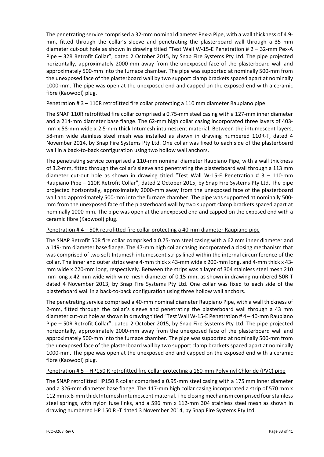The penetrating service comprised a 32‐mm nominal diameter Pex‐a Pipe, with a wall thickness of 4.9‐ mm, fitted through the collar's sleeve and penetrating the plasterboard wall through a 35 mm diameter cut-out hole as shown in drawing titled "Test Wall W-15-E Penetration # 2 – 32-mm Pex-A Pipe – 32R Retrofit Collar", dated 2 October 2015, by Snap Fire Systems Pty Ltd. The pipe projected horizontally, approximately 2000‐mm away from the unexposed face of the plasterboard wall and approximately 500‐mm into the furnace chamber. The pipe was supported at nominally 500‐mm from the unexposed face of the plasterboard wall by two support clamp brackets spaced apart at nominally 1000-mm. The pipe was open at the unexposed end and capped on the exposed end with a ceramic fibre (Kaowool) plug.

#### Penetration # 3 - 110R retrofitted fire collar protecting a 110 mm diameter Raupiano pipe

The SNAP 110R retrofitted fire collar comprised a 0.75‐mm steel casing with a 127‐mm inner diameter and a 214‐mm diameter base flange. The 62‐mm high collar casing incorporated three layers of 403‐ mm x 58‐mm wide x 2.5‐mm thick Intumesh intumescent material. Between the intumescent layers, 58-mm wide stainless steel mesh was installed as shown in drawing numbered 110R-T, dated 4 November 2014, by Snap Fire Systems Pty Ltd. One collar was fixed to each side of the plasterboard wall in a back-to-back configuration using two hollow wall anchors.

The penetrating service comprised a 110‐mm nominal diameter Raupiano Pipe, with a wall thickness of 3.2‐mm, fitted through the collar's sleeve and penetrating the plasterboard wall through a 113 mm diameter cut-out hole as shown in drawing titled "Test Wall W-15-E Penetration # 3 - 110-mm Raupiano Pipe – 110R Retrofit Collar", dated 2 October 2015, by Snap Fire Systems Pty Ltd. The pipe projected horizontally, approximately 2000‐mm away from the unexposed face of the plasterboard wall and approximately 500-mm into the furnace chamber. The pipe was supported at nominally 500mm from the unexposed face of the plasterboard wall by two support clamp brackets spaced apart at nominally 1000‐mm. The pipe was open at the unexposed end and capped on the exposed end with a ceramic fibre (Kaowool) plug.

#### Penetration # 4 – 50R retrofitted fire collar protecting a 40‐mm diameter Raupiano pipe

The SNAP Retrofit 50R fire collar comprised a 0.75‐mm steel casing with a 62 mm inner diameter and a 149‐mm diameter base flange. The 47‐mm high collar casing incorporated a closing mechanism that was comprised of two soft Intumesh intumescent strips lined within the internal circumference of the collar. The inner and outer strips were 4‐mm thick x 43‐mm wide x 200‐mm long, and 4‐mm thick x 43‐ mm wide x 220‐mm long, respectively. Between the strips was a layer of 304 stainless steel mesh 210 mm long x 42‐mm wide with wire mesh diameter of 0.15‐mm, as shown in drawing numbered 50R‐T dated 4 November 2013, by Snap Fire Systems Pty Ltd. One collar was fixed to each side of the plasterboard wall in a back‐to‐back configuration using three hollow wall anchors.

The penetrating service comprised a 40‐mm nominal diameter Raupiano Pipe, with a wall thickness of 2‐mm, fitted through the collar's sleeve and penetrating the plasterboard wall through a 43 mm diameter cut‐out hole asshown in drawing titled "Test Wall W‐15‐E Penetration # 4 – 40‐mm Raupiano Pipe – 50R Retrofit Collar", dated 2 October 2015, by Snap Fire Systems Pty Ltd. The pipe projected horizontally, approximately 2000-mm away from the unexposed face of the plasterboard wall and approximately 500‐mm into the furnace chamber. The pipe was supported at nominally 500‐mm from the unexposed face of the plasterboard wall by two support clamp brackets spaced apart at nominally 1000‐mm. The pipe was open at the unexposed end and capped on the exposed end with a ceramic fibre (Kaowool) plug.

#### Penetration # 5 – HP150 R retrofitted fire collar protecting a 160‐mm Polyvinyl Chloride (PVC) pipe

The SNAP retrofitted HP150 R collar comprised a 0.95‐mm steel casing with a 175 mm inner diameter and a 326-mm diameter base flange. The 117-mm high collar casing incorporated a strip of 570 mm x 112 mm x 8-mm thick Intumesh intumescent material. The closing mechanism comprised four stainless steel springs, with nylon fuse links, and a 596 mm x 112-mm 304 stainless steel mesh as shown in drawing numbered HP 150 R ‐T dated 3 November 2014, by Snap Fire Systems Pty Ltd.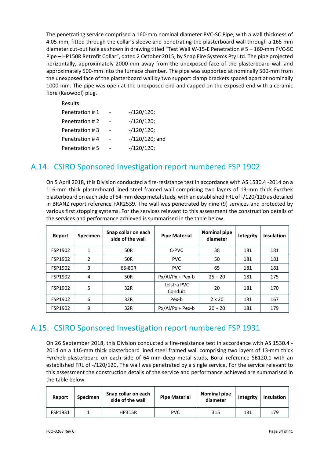The penetrating service comprised a 160‐mm nominal diameter PVC‐SC Pipe, with a wall thickness of 4.05-mm, fitted through the collar's sleeve and penetrating the plasterboard wall through a 165 mm diameter cut-out hole as shown in drawing titled "Test Wall W-15-E Penetration # 5 – 160-mm PVC-SC Pipe – HP150R Retrofit Collar", dated 2 October 2015, by Snap Fire Systems Pty Ltd. The pipe projected horizontally, approximately 2000‐mm away from the unexposed face of the plasterboard wall and approximately 500‐mm into the furnace chamber. The pipe was supported at nominally 500‐mm from the unexposed face of the plasterboard wall by two support clamp brackets spaced apart at nominally 1000‐mm. The pipe was open at the unexposed end and capped on the exposed end with a ceramic fibre (Kaowool) plug.

| Results        |                   |
|----------------|-------------------|
| Penetration #1 | $-120/120;$       |
| Penetration #2 | $-/120/120;$      |
| Penetration #3 | $-/120/120;$      |
| Penetration #4 | $-$ /120/120; and |
| Penetration #5 | $-120/120;$       |

### A.14. CSIRO Sponsored Investigation report numbered FSP 1902

On 5 April 2018, this Division conducted a fire‐resistance test in accordance with AS 1530.4 ‐2014 on a 116‐mm thick plasterboard lined steel framed wall comprising two layers of 13‐mm thick Fyrchek plasterboard on each side of 64-mm deep metal studs, with an established FRL of -/120/120 as detailed in BRANZ report reference FAR2539. The wall was penetrated by nine (9) services and protected by various first stopping systems. For the services relevant to this assessment the construction details of the services and performance achieved is summarised in the table below.

| Report  | <b>Specimen</b> | Snap collar on each<br>side of the wall | <b>Pipe Material</b>   | <b>Nominal pipe</b><br>diameter | Integrity | <b>Insulation</b> |
|---------|-----------------|-----------------------------------------|------------------------|---------------------------------|-----------|-------------------|
| FSP1902 | 1               | 50R                                     | C-PVC                  | 38                              | 181       | 181               |
| FSP1902 | $\overline{2}$  | 50R                                     | <b>PVC</b><br>50       |                                 | 181       | 181               |
| FSP1902 | 3               | 65-80R                                  | <b>PVC</b>             | 65                              | 181       | 181               |
| FSP1902 | 4               | 50R                                     | $Px/AI/Px + Pex-b$     | $25 + 20$                       | 181       | 175               |
| FSP1902 | 5               | 32R                                     | Telstra PVC<br>Conduit | 20                              | 181       | 170               |
| FSP1902 | 6               | 32R                                     | Pex-b                  | $2 \times 20$                   | 181       | 167               |
| FSP1902 | 9               | 32R                                     | $Px/AI/Px + Pex-b$     | $20 + 20$                       | 181       | 179               |

## A.15. CSIRO Sponsored Investigation report numbered FSP 1931

On 26 September 2018, this Division conducted a fire-resistance test in accordance with AS 1530.4 -2014 on a 116‐mm thick plasterboard lined steel framed wall comprising two layers of 13‐mm thick Fyrchek plasterboard on each side of 64‐mm deep metal studs, Boral reference SB120.1 with an established FRL of ‐/120/120. The wall was penetrated by a single service. For the service relevant to this assessment the construction details of the service and performance achieved are summarised in the table below.

| Report  | <b>Specimen</b> | Snap collar on each<br>side of the wall | <b>Pipe Material</b> | <b>Nominal pipe</b><br>diameter | Integrity | <b>Insulation</b> |
|---------|-----------------|-----------------------------------------|----------------------|---------------------------------|-----------|-------------------|
| FSP1931 |                 | HP315R                                  | PVC                  | 315                             | 181       | 179               |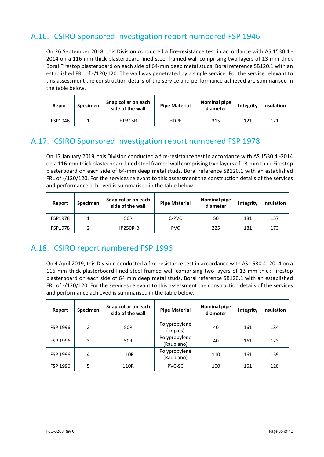## A.16. CSIRO Sponsored Investigation report numbered FSP 1946

On 26 September 2018, this Division conducted a fire-resistance test in accordance with AS 1530.4 -2014 on a 116‐mm thick plasterboard lined steel framed wall comprising two layers of 13‐mm thick Boral Firestop plasterboard on each side of 64‐mm deep metal studs, Boral reference SB120.1 with an established FRL of ‐/120/120. The wall was penetrated by a single service. For the service relevant to this assessment the construction details of the service and performance achieved are summarised in the table below.

| Report  | Specimen | Snap collar on each<br>side of the wall | Nominal pipe<br><b>Pipe Material</b><br>diameter |     | Integrity | <b>Insulation</b> |
|---------|----------|-----------------------------------------|--------------------------------------------------|-----|-----------|-------------------|
| FSP1946 |          | <b>HP315R</b>                           | <b>HDPE</b>                                      | 315 | 121       | 121               |

## A.17. CSIRO Sponsored Investigation report numbered FSP 1978

On 17 January 2019, this Division conducted a fire‐resistance test in accordance with AS 1530.4 ‐2014 on a 116‐mm thick plasterboard lined steel framed wall comprising two layers of 13‐mm thick Firestop plasterboard on each side of 64‐mm deep metal studs, Boral reference SB120.1 with an established FRL of -/120/120. For the services relevant to this assessment the construction details of the services and performance achieved is summarised in the table below.

| Report         | <b>Specimen</b> | Snap collar on each<br>side of the wall | <b>Pipe Material</b> | <b>Nominal pipe</b><br>diameter | Integrity | <b>Insulation</b> |
|----------------|-----------------|-----------------------------------------|----------------------|---------------------------------|-----------|-------------------|
| <b>FSP1978</b> |                 | <b>50R</b>                              | C-PVC                | 50                              | 181       | 157               |
| <b>FSP1978</b> |                 | <b>HP250R-B</b>                         | <b>PVC</b>           | 225                             | 181       | 173               |

### A.18. CSIRO report numbered FSP 1996

On 4 April 2019, this Division conducted a fire‐resistance test in accordance with AS 1530.4 ‐2014 on a 116 mm thick plasterboard lined steel framed wall comprising two layers of 13 mm thick Firestop plasterboard on each side of 64 mm deep metal studs, Boral reference SB120.1 with an established FRL of -/120/120. For the services relevant to this assessment the construction details of the services and performance achieved is summarised in the table below.

| Report   | <b>Specimen</b> | Snap collar on each<br>side of the wall | <b>Pipe Material</b>        | <b>Nominal pipe</b><br>diameter | Integrity | <b>Insulation</b> |
|----------|-----------------|-----------------------------------------|-----------------------------|---------------------------------|-----------|-------------------|
| FSP 1996 | 2               | 50R                                     | Polypropylene<br>(Triplus)  | 40                              | 161       | 134               |
| FSP 1996 | 3               | 50R                                     | Polypropylene<br>(Raupiano) | 40                              | 161       | 123               |
| FSP 1996 | 4               | 110R                                    | Polypropylene<br>(Raupiano) | 110                             | 161       | 159               |
| FSP 1996 | 5               | 110R                                    | <b>PVC-SC</b>               | 100                             | 161       | 128               |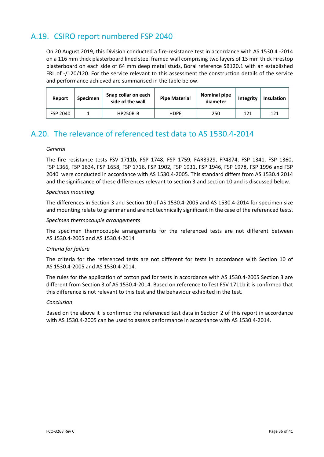## A.19. CSIRO report numbered FSP 2040

On 20 August 2019, this Division conducted a fire‐resistance test in accordance with AS 1530.4 ‐2014 on a 116 mm thick plasterboard lined steel framed wall comprising two layers of 13 mm thick Firestop plasterboard on each side of 64 mm deep metal studs, Boral reference SB120.1 with an established FRL of -/120/120. For the service relevant to this assessment the construction details of the service and performance achieved are summarised in the table below.

| Report   | Specimen | Snap collar on each<br>side of the wall | <b>Pipe Material</b> | <b>Nominal pipe</b><br>diameter | Integrity | <b>Insulation</b> |
|----------|----------|-----------------------------------------|----------------------|---------------------------------|-----------|-------------------|
| FSP 2040 |          | <b>HP250R-B</b>                         | <b>HDPE</b>          | 250                             | 121       | 121               |

## A.20. The relevance of referenced test data to AS 1530.4‐2014

#### *General*

The fire resistance tests FSV 1711b, FSP 1748, FSP 1759, FAR3929, FP4874, FSP 1341, FSP 1360, FSP 1366, FSP 1634, FSP 1658, FSP 1716, FSP 1902, FSP 1931, FSP 1946, FSP 1978, FSP 1996 and FSP 2040 were conducted in accordance with AS 1530.4‐2005. This standard differs from AS 1530.4 2014 and the significance of these differences relevant to section 3 and section 10 and is discussed below.

#### *Specimen mounting*

The differences in Section 3 and Section 10 of AS 1530.4‐2005 and AS 1530.4‐2014 for specimen size and mounting relate to grammar and are not technically significant in the case of the referenced tests.

#### *Specimen thermocouple arrangements*

The specimen thermocouple arrangements for the referenced tests are not different between AS 1530.4‐2005 and AS 1530.4‐2014

#### *Criteria for failure*

The criteria for the referenced tests are not different for tests in accordance with Section 10 of AS 1530.4‐2005 and AS 1530.4‐2014.

The rules for the application of cotton pad for tests in accordance with AS 1530.4‐2005 Section 3 are different from Section 3 of AS 1530.4‐2014. Based on reference to Test FSV 1711b it is confirmed that this difference is not relevant to this test and the behaviour exhibited in the test.

#### *Conclusion*

Based on the above it is confirmed the referenced test data in Section 2 of this report in accordance with AS 1530.4‐2005 can be used to assess performance in accordance with AS 1530.4‐2014.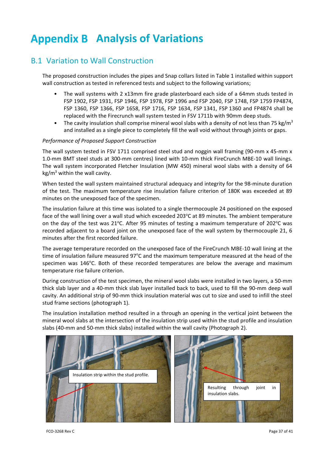# **Analysis of Variations**

## B.1 Variation to Wall Construction

The proposed construction includes the pipes and Snap collars listed in Table 1 installed within support wall construction as tested in referenced tests and subject to the following variations;

- The wall systems with 2 x13mm fire grade plasterboard each side of a 64mm studs tested in FSP 1902, FSP 1931, FSP 1946, FSP 1978, FSP 1996 and FSP 2040, FSP 1748, FSP 1759 FP4874, FSP 1360, FSP 1366, FSP 1658, FSP 1716, FSP 1634, FSP 1341, FSP 1360 and FP4874 shall be replaced with the Firecrunch wall system tested in FSV 1711b with 90mm deep studs.
- The cavity insulation shall comprise mineral wool slabs with a density of not less than 75 kg/m<sup>3</sup> and installed as a single piece to completely fill the wall void without through joints or gaps.

#### *Performance of Proposed Support Construction*

The wall system tested in FSV 1711 comprised steel stud and noggin wall framing (90-mm x 45-mm x 1.0‐mm BMT steel studs at 300‐mm centres) lined with 10‐mm thick FireCrunch MBE‐10 wall linings. The wall system incorporated Fletcher Insulation (MW 450) mineral wool slabs with a density of 64  $kg/m<sup>3</sup>$  within the wall cavity.

When tested the wall system maintained structural adequacy and integrity for the 98-minute duration of the test. The maximum temperature rise insulation failure criterion of 180K was exceeded at 89 minutes on the unexposed face of the specimen.

The insulation failure at this time was isolated to a single thermocouple 24 positioned on the exposed face of the wall lining over a wall stud which exceeded 203°C at 89 minutes. The ambient temperature on the day of the test was 21°C. After 95 minutes of testing a maximum temperature of 202°C was recorded adjacent to a board joint on the unexposed face of the wall system by thermocouple 21, 6 minutes after the first recorded failure.

The average temperature recorded on the unexposed face of the FireCrunch MBE‐10 wall lining at the time of insulation failure measured 97°C and the maximum temperature measured at the head of the specimen was 146°C. Both of these recorded temperatures are below the average and maximum temperature rise failure criterion.

During construction of the test specimen, the mineral wool slabs were installed in two layers, a 50‐mm thick slab layer and a 40‐mm thick slab layer installed back to back, used to fill the 90‐mm deep wall cavity. An additional strip of 90‐mm thick insulation material was cut to size and used to infill the steel stud frame sections (photograph 1).

The insulation installation method resulted in a through an opening in the vertical joint between the mineral wool slabs at the intersection of the insulation strip used within the stud profile and insulation slabs (40‐mm and 50‐mm thick slabs) installed within the wall cavity (Photograph 2).

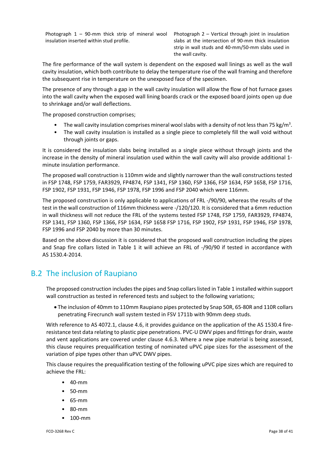Photograph  $1 - 90$ -mm thick strip of mineral wool insulation inserted within stud profile.

Photograph 2 – Vertical through joint in insulation slabs at the intersection of 90‐mm thick insulation strip in wall studs and 40‐mm/50‐mm slabs used in the wall cavity.

The fire performance of the wall system is dependent on the exposed wall linings as well as the wall cavity insulation, which both contribute to delay the temperature rise of the wall framing and therefore the subsequent rise in temperature on the unexposed face of the specimen.

The presence of any through a gap in the wall cavity insulation will allow the flow of hot furnace gases into the wall cavity when the exposed wall lining boards crack or the exposed board joints open up due to shrinkage and/or wall deflections.

The proposed construction comprises;

- The wall cavity insulation comprises mineral wool slabs with a density of not less than 75 kg/m<sup>3</sup>.
- The wall cavity insulation is installed as a single piece to completely fill the wall void without through joints or gaps.

It is considered the insulation slabs being installed as a single piece without through joints and the increase in the density of mineral insulation used within the wall cavity will also provide additional 1‐ minute insulation performance.

The proposed wall construction is 110mm wide and slightly narrower than the wall constructions tested in FSP 1748, FSP 1759, FAR3929, FP4874, FSP 1341, FSP 1360, FSP 1366, FSP 1634, FSP 1658, FSP 1716, FSP 1902, FSP 1931, FSP 1946, FSP 1978, FSP 1996 and FSP 2040 which were 116mm.

The proposed construction is only applicable to applications of FRL ‐/90/90, whereas the results of the test in the wall construction of 116mm thickness were -/120/120. It is considered that a 6mm reduction in wall thickness will not reduce the FRL of the systems tested FSP 1748, FSP 1759, FAR3929, FP4874, FSP 1341, FSP 1360, FSP 1366, FSP 1634, FSP 1658 FSP 1716, FSP 1902, FSP 1931, FSP 1946, FSP 1978, FSP 1996 and FSP 2040 by more than 30 minutes.

Based on the above discussion it is considered that the proposed wall construction including the pipes and Snap fire collars listed in Table 1 it will achieve an FRL of -/90/90 if tested in accordance with AS 1530.4‐2014.

## B.2 The inclusion of Raupiano

The proposed construction includesthe pipes and Snap collarslisted in Table 1 installed within support wall construction as tested in referenced tests and subject to the following variations;

 The inclusion of 40mm to 110mm Raupiano pipes protected by Snap 50R, 65‐80R and 110R collars penetrating Firecrunch wall system tested in FSV 1711b with 90mm deep studs.

With reference to AS 4072.1, clause 4.6, it provides guidance on the application of the AS 1530.4 fire‐ resistance test data relating to plastic pipe penetrations. PVC-U DWV pipes and fittings for drain, waste and vent applications are covered under clause 4.6.3. Where a new pipe material is being assessed, this clause requires prequalification testing of nominated uPVC pipe sizes for the assessment of the variation of pipe types other than uPVC DWV pipes.

This clause requires the prequalification testing of the following uPVC pipe sizes which are required to achieve the FRL:

- 40‐mm
- 50‐mm
- 65‐mm
- 80‐mm
- 100‐mm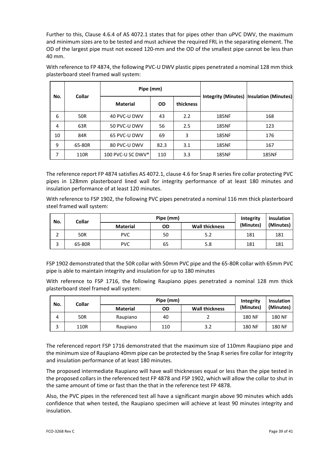Further to this, Clause 4.6.4 of AS 4072.1 states that for pipes other than uPVC DWV, the maximum and minimum sizes are to be tested and must achieve the required FRL in the separating element. The OD of the largest pipe must not exceed 120-mm and the OD of the smallest pipe cannot be less than 40 mm.

|     | <b>Collar</b> | Pipe (mm)         |           |           |              |                                           |
|-----|---------------|-------------------|-----------|-----------|--------------|-------------------------------------------|
| No. |               | <b>Material</b>   | <b>OD</b> | thickness |              | Integrity (Minutes)  Insulation (Minutes) |
| 6   | <b>50R</b>    | 40 PVC-U DWV      | 43        | 2.2       | <b>185NF</b> | 168                                       |
| 4   | 63R           | 50 PVC-U DWV      | 56        | 2.5       | <b>185NF</b> | 123                                       |
| 10  | 84R           | 65 PVC-U DWV      | 69        | 3         | <b>185NF</b> | 176                                       |
| 9   | 65-80R        | 80 PVC-U DWV      | 82.3      | 3.1       | 185NF        | 167                                       |
| 7   | 110R          | 100 PVC-U SC DWV* | 110       | 3.3       | <b>185NF</b> | <b>185NF</b>                              |

With reference to FP 4874, the following PVC‐U DWV plastic pipes penetrated a nominal 128 mm thick plasterboard steel framed wall system:

The reference report FP 4874 satisfies AS 4072.1, clause 4.6 for Snap R series fire collar protecting PVC pipes in 128mm plasterboard lined wall for integrity performance of at least 180 minutes and insulation performance of at least 120 minutes.

With reference to FSP 1902, the following PVC pipes penetrated a nominal 116 mm thick plasterboard steel framed wall system:

| No.    | Collar     |                 | Integrity | Insulation            |           |           |
|--------|------------|-----------------|-----------|-----------------------|-----------|-----------|
|        |            | <b>Material</b> | OD        | <b>Wall thickness</b> | (Minutes) | (Minutes) |
| ∽<br>∸ | <b>50R</b> | <b>PVC</b>      | 50        | 5.2                   | 181       | 181       |
| ∽<br>ت | 65-80R     | <b>PVC</b>      | 65        | 5.8                   | 181       | 181       |

FSP 1902 demonstrated that the 50R collar with 50mm PVC pipe and the 65‐80R collar with 65mm PVC pipe is able to maintain integrity and insulation for up to 180 minutes

With reference to FSP 1716, the following Raupiano pipes penetrated a nominal 128 mm thick plasterboard steel framed wall system:

| No. | Collar     | Pipe (mm)       |     |                       | Integrity | <b>Insulation</b> |
|-----|------------|-----------------|-----|-----------------------|-----------|-------------------|
|     |            | <b>Material</b> | OD  | <b>Wall thickness</b> | (Minutes) | (Minutes)         |
| 4   | <b>50R</b> | Raupiano        | 40  |                       | 180 NF    | <b>180 NF</b>     |
|     | 110R       | Raupiano        | 110 | 3.2                   | 180 NF    | <b>180 NF</b>     |

The referenced report FSP 1716 demonstrated that the maximum size of 110mm Raupiano pipe and the minimum size of Raupiano 40mm pipe can be protected by the Snap R series fire collar for integrity and insulation performance of at least 180 minutes.

The proposed intermediate Raupiano will have wall thicknesses equal or less than the pipe tested in the proposed collars in the referenced test FP 4878 and FSP 1902, which will allow the collar to shut in the same amount of time or fast than the that in the reference test FP 4878.

Also, the PVC pipes in the referenced test all have a significant margin above 90 minutes which adds confidence that when tested, the Raupiano specimen will achieve at least 90 minutes integrity and insulation.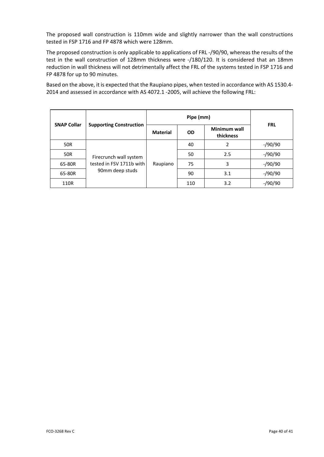The proposed wall construction is 110mm wide and slightly narrower than the wall constructions tested in FSP 1716 and FP 4878 which were 128mm.

The proposed construction is only applicable to applications of FRL ‐/90/90, whereas the results of the test in the wall construction of 128mm thickness were -/180/120. It is considered that an 18mm reduction in wall thickness will not detrimentally affect the FRL of the systems tested in FSP 1716 and FP 4878 for up to 90 minutes.

Based on the above, it is expected that the Raupiano pipes, when tested in accordance with AS 1530.4‐ 2014 and assessed in accordance with AS 4072.1 ‐2005, will achieve the following FRL:

|                    | <b>Supporting Construction</b>                                        | Pipe (mm)       |           |                           |            |  |
|--------------------|-----------------------------------------------------------------------|-----------------|-----------|---------------------------|------------|--|
| <b>SNAP Collar</b> |                                                                       | <b>Material</b> | <b>OD</b> | Minimum wall<br>thickness | <b>FRL</b> |  |
| 50R                | Firecrunch wall system<br>tested in FSV 1711b with<br>90mm deep studs | Raupiano        | 40        | 2                         | $-$ /90/90 |  |
| 50R                |                                                                       |                 | 50        | 2.5                       | $-$ /90/90 |  |
| 65-80R             |                                                                       |                 | 75        | 3                         | $-$ /90/90 |  |
| 65-80R             |                                                                       |                 | 90        | 3.1                       | $-$ /90/90 |  |
| 110R               |                                                                       |                 | 110       | 3.2                       | $-$ /90/90 |  |